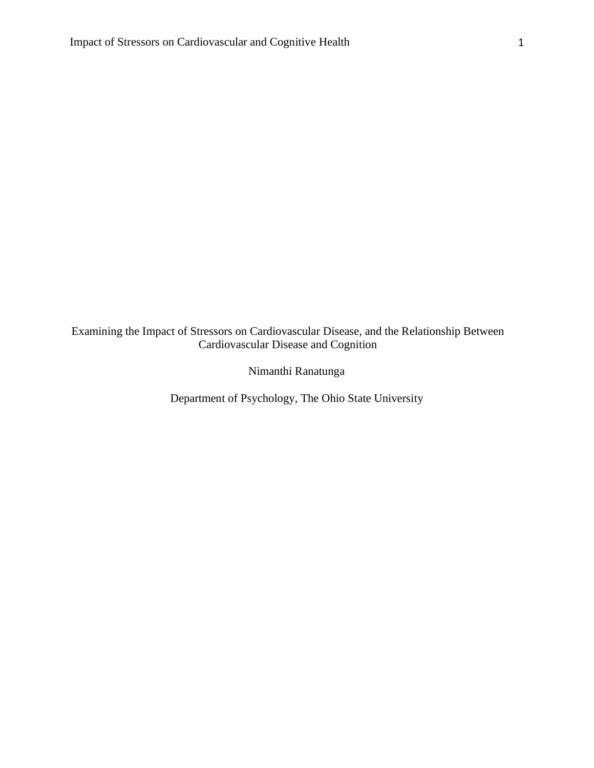Examining the Impact of Stressors on Cardiovascular Disease, and the Relationship Between Cardiovascular Disease and Cognition

Nimanthi Ranatunga

Department of Psychology, The Ohio State University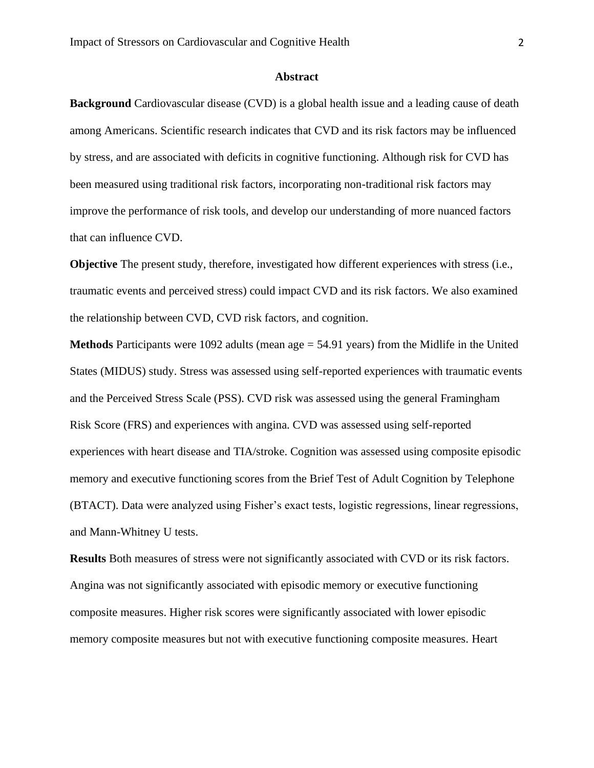### **Abstract**

**Background** Cardiovascular disease (CVD) is a global health issue and a leading cause of death among Americans. Scientific research indicates that CVD and its risk factors may be influenced by stress, and are associated with deficits in cognitive functioning. Although risk for CVD has been measured using traditional risk factors, incorporating non-traditional risk factors may improve the performance of risk tools, and develop our understanding of more nuanced factors that can influence CVD.

**Objective** The present study, therefore, investigated how different experiences with stress (i.e., traumatic events and perceived stress) could impact CVD and its risk factors. We also examined the relationship between CVD, CVD risk factors, and cognition.

**Methods** Participants were 1092 adults (mean age = 54.91 years) from the Midlife in the United States (MIDUS) study. Stress was assessed using self-reported experiences with traumatic events and the Perceived Stress Scale (PSS). CVD risk was assessed using the general Framingham Risk Score (FRS) and experiences with angina. CVD was assessed using self-reported experiences with heart disease and TIA/stroke. Cognition was assessed using composite episodic memory and executive functioning scores from the Brief Test of Adult Cognition by Telephone (BTACT). Data were analyzed using Fisher's exact tests, logistic regressions, linear regressions, and Mann-Whitney U tests.

**Results** Both measures of stress were not significantly associated with CVD or its risk factors. Angina was not significantly associated with episodic memory or executive functioning composite measures. Higher risk scores were significantly associated with lower episodic memory composite measures but not with executive functioning composite measures. Heart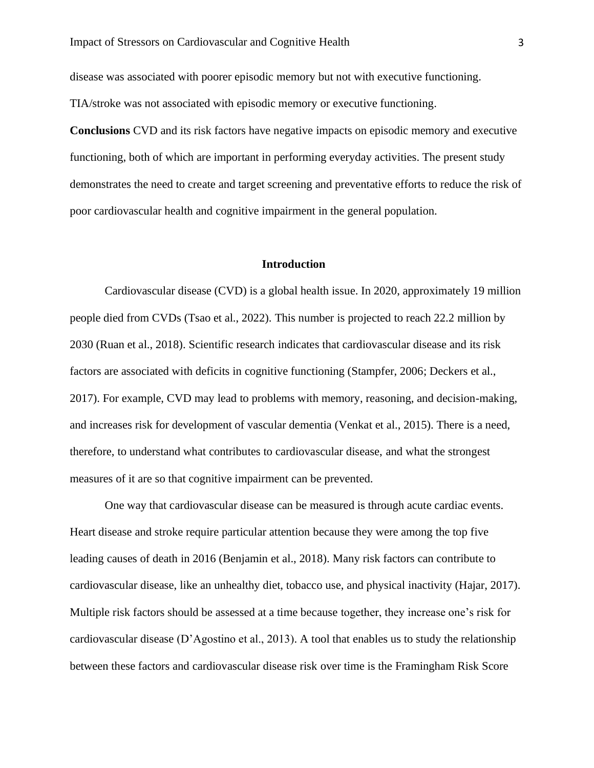disease was associated with poorer episodic memory but not with executive functioning. TIA/stroke was not associated with episodic memory or executive functioning.

**Conclusions** CVD and its risk factors have negative impacts on episodic memory and executive functioning, both of which are important in performing everyday activities. The present study demonstrates the need to create and target screening and preventative efforts to reduce the risk of poor cardiovascular health and cognitive impairment in the general population.

#### **Introduction**

Cardiovascular disease (CVD) is a global health issue. In 2020, approximately 19 million people died from CVDs (Tsao et al., 2022). This number is projected to reach 22.2 million by 2030 (Ruan et al., 2018). Scientific research indicates that cardiovascular disease and its risk factors are associated with deficits in cognitive functioning (Stampfer, 2006; Deckers et al., 2017). For example, CVD may lead to problems with memory, reasoning, and decision-making, and increases risk for development of vascular dementia (Venkat et al., 2015). There is a need, therefore, to understand what contributes to cardiovascular disease, and what the strongest measures of it are so that cognitive impairment can be prevented.

One way that cardiovascular disease can be measured is through acute cardiac events. Heart disease and stroke require particular attention because they were among the top five leading causes of death in 2016 (Benjamin et al., 2018). Many risk factors can contribute to cardiovascular disease, like an unhealthy diet, tobacco use, and physical inactivity (Hajar, 2017). Multiple risk factors should be assessed at a time because together, they increase one's risk for cardiovascular disease (D'Agostino et al., 2013). A tool that enables us to study the relationship between these factors and cardiovascular disease risk over time is the Framingham Risk Score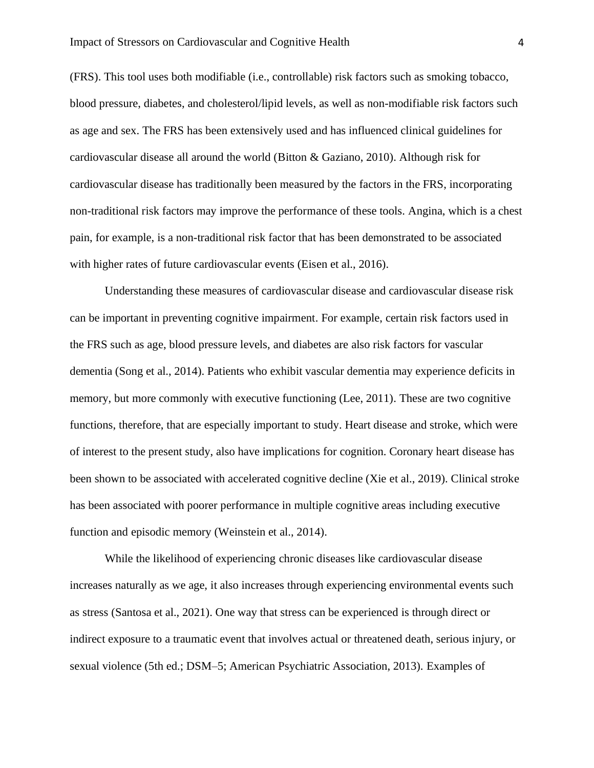(FRS). This tool uses both modifiable (i.e., controllable) risk factors such as smoking tobacco, blood pressure, diabetes, and cholesterol/lipid levels, as well as non-modifiable risk factors such as age and sex. The FRS has been extensively used and has influenced clinical guidelines for cardiovascular disease all around the world (Bitton & Gaziano, 2010). Although risk for cardiovascular disease has traditionally been measured by the factors in the FRS, incorporating non-traditional risk factors may improve the performance of these tools. Angina, which is a chest pain, for example, is a non-traditional risk factor that has been demonstrated to be associated with higher rates of future cardiovascular events (Eisen et al., 2016).

Understanding these measures of cardiovascular disease and cardiovascular disease risk can be important in preventing cognitive impairment. For example, certain risk factors used in the FRS such as age, blood pressure levels, and diabetes are also risk factors for vascular dementia (Song et al., 2014). Patients who exhibit vascular dementia may experience deficits in memory, but more commonly with executive functioning (Lee, 2011). These are two cognitive functions, therefore, that are especially important to study. Heart disease and stroke, which were of interest to the present study, also have implications for cognition. Coronary heart disease has been shown to be associated with accelerated cognitive decline (Xie et al., 2019). Clinical stroke has been associated with poorer performance in multiple cognitive areas including executive function and episodic memory (Weinstein et al., 2014).

While the likelihood of experiencing chronic diseases like cardiovascular disease increases naturally as we age, it also increases through experiencing environmental events such as stress (Santosa et al., 2021). One way that stress can be experienced is through direct or indirect exposure to a traumatic event that involves actual or threatened death, serious injury, or sexual violence (5th ed.; DSM–5; American Psychiatric Association, 2013). Examples of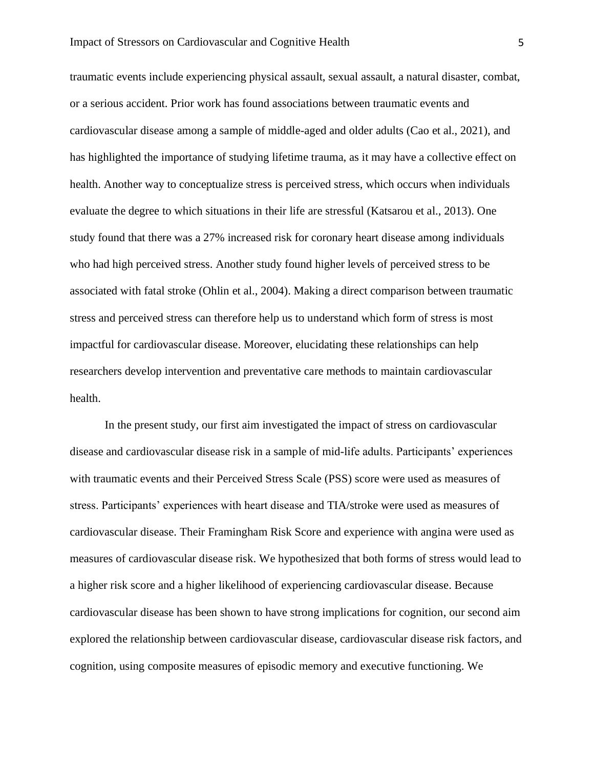traumatic events include experiencing physical assault, sexual assault, a natural disaster, combat, or a serious accident. Prior work has found associations between traumatic events and cardiovascular disease among a sample of middle-aged and older adults (Cao et al., 2021), and has highlighted the importance of studying lifetime trauma, as it may have a collective effect on health. Another way to conceptualize stress is perceived stress, which occurs when individuals evaluate the degree to which situations in their life are stressful (Katsarou et al., 2013). One study found that there was a 27% increased risk for coronary heart disease among individuals who had high perceived stress. Another study found higher levels of perceived stress to be associated with fatal stroke (Ohlin et al., 2004). Making a direct comparison between traumatic stress and perceived stress can therefore help us to understand which form of stress is most impactful for cardiovascular disease. Moreover, elucidating these relationships can help researchers develop intervention and preventative care methods to maintain cardiovascular health.

In the present study, our first aim investigated the impact of stress on cardiovascular disease and cardiovascular disease risk in a sample of mid-life adults. Participants' experiences with traumatic events and their Perceived Stress Scale (PSS) score were used as measures of stress. Participants' experiences with heart disease and TIA/stroke were used as measures of cardiovascular disease. Their Framingham Risk Score and experience with angina were used as measures of cardiovascular disease risk. We hypothesized that both forms of stress would lead to a higher risk score and a higher likelihood of experiencing cardiovascular disease. Because cardiovascular disease has been shown to have strong implications for cognition, our second aim explored the relationship between cardiovascular disease, cardiovascular disease risk factors, and cognition, using composite measures of episodic memory and executive functioning. We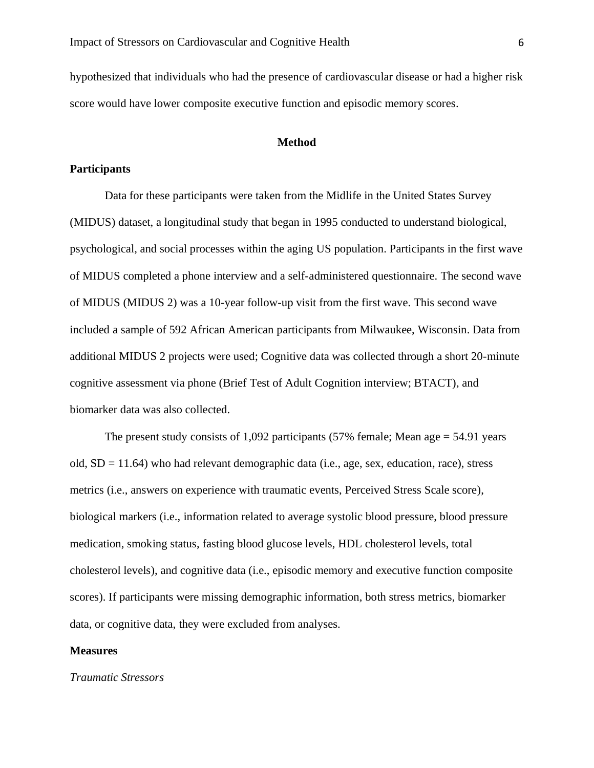hypothesized that individuals who had the presence of cardiovascular disease or had a higher risk score would have lower composite executive function and episodic memory scores.

#### **Method**

# **Participants**

Data for these participants were taken from the Midlife in the United States Survey (MIDUS) dataset, a longitudinal study that began in 1995 conducted to understand biological, psychological, and social processes within the aging US population. Participants in the first wave of MIDUS completed a phone interview and a self-administered questionnaire. The second wave of MIDUS (MIDUS 2) was a 10-year follow-up visit from the first wave. This second wave included a sample of 592 African American participants from Milwaukee, Wisconsin. Data from additional MIDUS 2 projects were used; Cognitive data was collected through a short 20-minute cognitive assessment via phone (Brief Test of Adult Cognition interview; BTACT), and biomarker data was also collected.

The present study consists of 1,092 participants (57% female; Mean age = 54.91 years old,  $SD = 11.64$ ) who had relevant demographic data (i.e., age, sex, education, race), stress metrics (i.e., answers on experience with traumatic events, Perceived Stress Scale score), biological markers (i.e., information related to average systolic blood pressure, blood pressure medication, smoking status, fasting blood glucose levels, HDL cholesterol levels, total cholesterol levels), and cognitive data (i.e., episodic memory and executive function composite scores). If participants were missing demographic information, both stress metrics, biomarker data, or cognitive data, they were excluded from analyses.

### **Measures**

*Traumatic Stressors*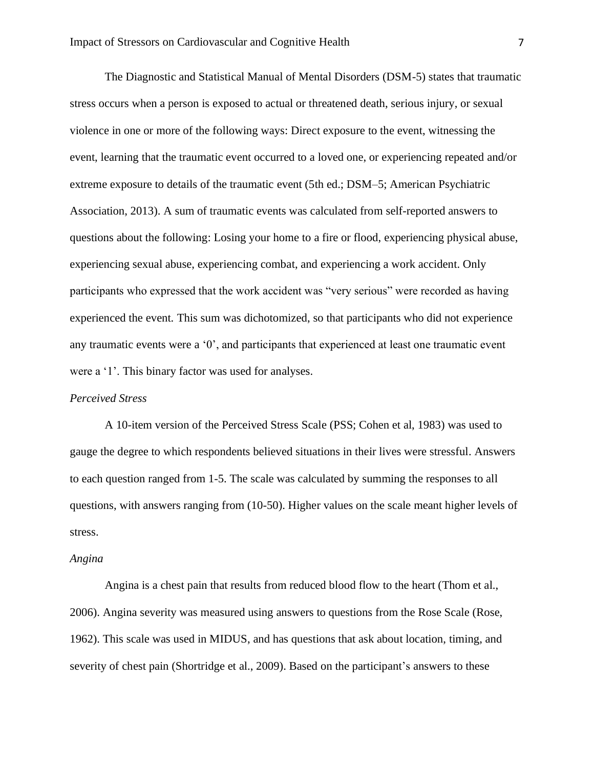The Diagnostic and Statistical Manual of Mental Disorders (DSM-5) states that traumatic stress occurs when a person is exposed to actual or threatened death, serious injury, or sexual violence in one or more of the following ways: Direct exposure to the event, witnessing the event, learning that the traumatic event occurred to a loved one, or experiencing repeated and/or extreme exposure to details of the traumatic event (5th ed.; DSM–5; American Psychiatric Association, 2013). A sum of traumatic events was calculated from self-reported answers to questions about the following: Losing your home to a fire or flood, experiencing physical abuse, experiencing sexual abuse, experiencing combat, and experiencing a work accident. Only participants who expressed that the work accident was "very serious" were recorded as having experienced the event. This sum was dichotomized, so that participants who did not experience any traumatic events were a '0', and participants that experienced at least one traumatic event were a '1'. This binary factor was used for analyses.

#### *Perceived Stress*

A 10-item version of the Perceived Stress Scale (PSS; Cohen et al, 1983) was used to gauge the degree to which respondents believed situations in their lives were stressful. Answers to each question ranged from 1-5. The scale was calculated by summing the responses to all questions, with answers ranging from (10-50). Higher values on the scale meant higher levels of stress.

#### *Angina*

Angina is a chest pain that results from reduced blood flow to the heart (Thom et al., 2006). Angina severity was measured using answers to questions from the Rose Scale (Rose, 1962). This scale was used in MIDUS, and has questions that ask about location, timing, and severity of chest pain (Shortridge et al., 2009). Based on the participant's answers to these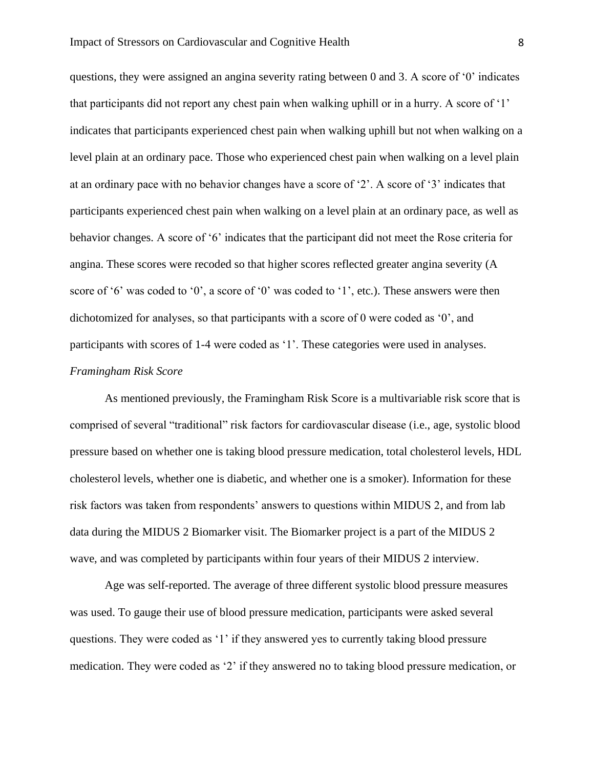questions, they were assigned an angina severity rating between 0 and 3. A score of '0' indicates that participants did not report any chest pain when walking uphill or in a hurry. A score of '1' indicates that participants experienced chest pain when walking uphill but not when walking on a level plain at an ordinary pace. Those who experienced chest pain when walking on a level plain at an ordinary pace with no behavior changes have a score of '2'. A score of '3' indicates that participants experienced chest pain when walking on a level plain at an ordinary pace, as well as behavior changes. A score of '6' indicates that the participant did not meet the Rose criteria for angina. These scores were recoded so that higher scores reflected greater angina severity (A score of '6' was coded to '0', a score of '0' was coded to '1', etc.). These answers were then dichotomized for analyses, so that participants with a score of 0 were coded as '0', and participants with scores of 1-4 were coded as '1'. These categories were used in analyses. *Framingham Risk Score* 

As mentioned previously, the Framingham Risk Score is a multivariable risk score that is comprised of several "traditional" risk factors for cardiovascular disease (i.e., age, systolic blood pressure based on whether one is taking blood pressure medication, total cholesterol levels, HDL cholesterol levels, whether one is diabetic, and whether one is a smoker). Information for these risk factors was taken from respondents' answers to questions within MIDUS 2, and from lab data during the MIDUS 2 Biomarker visit. The Biomarker project is a part of the MIDUS 2 wave, and was completed by participants within four years of their MIDUS 2 interview.

Age was self-reported. The average of three different systolic blood pressure measures was used. To gauge their use of blood pressure medication, participants were asked several questions. They were coded as '1' if they answered yes to currently taking blood pressure medication. They were coded as '2' if they answered no to taking blood pressure medication, or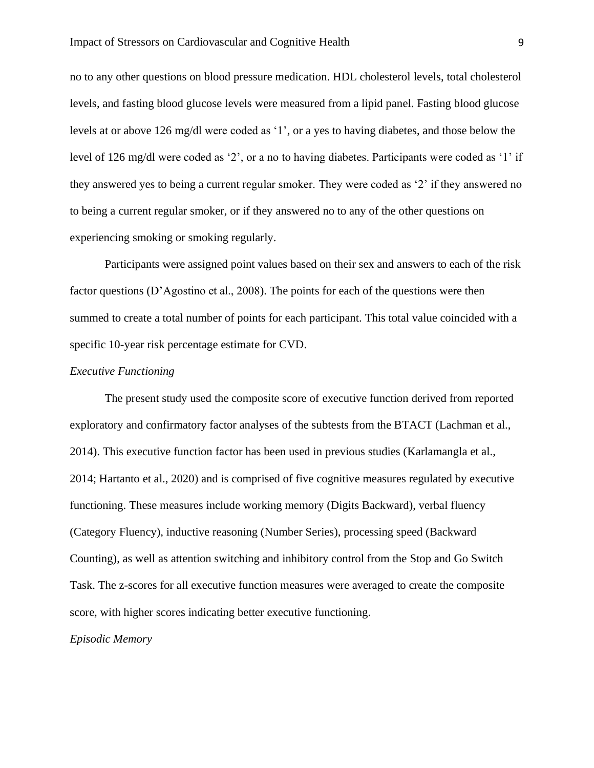no to any other questions on blood pressure medication. HDL cholesterol levels, total cholesterol levels, and fasting blood glucose levels were measured from a lipid panel. Fasting blood glucose levels at or above 126 mg/dl were coded as '1', or a yes to having diabetes, and those below the level of 126 mg/dl were coded as '2', or a no to having diabetes. Participants were coded as '1' if they answered yes to being a current regular smoker. They were coded as '2' if they answered no to being a current regular smoker, or if they answered no to any of the other questions on experiencing smoking or smoking regularly.

Participants were assigned point values based on their sex and answers to each of the risk factor questions (D'Agostino et al., 2008). The points for each of the questions were then summed to create a total number of points for each participant. This total value coincided with a specific 10-year risk percentage estimate for CVD.

# *Executive Functioning*

The present study used the composite score of executive function derived from reported exploratory and confirmatory factor analyses of the subtests from the BTACT (Lachman et al., 2014). This executive function factor has been used in previous studies (Karlamangla et al., 2014; Hartanto et al., 2020) and is comprised of five cognitive measures regulated by executive functioning. These measures include working memory (Digits Backward), verbal fluency (Category Fluency), inductive reasoning (Number Series), processing speed (Backward Counting), as well as attention switching and inhibitory control from the Stop and Go Switch Task. The z-scores for all executive function measures were averaged to create the composite score, with higher scores indicating better executive functioning.

*Episodic Memory*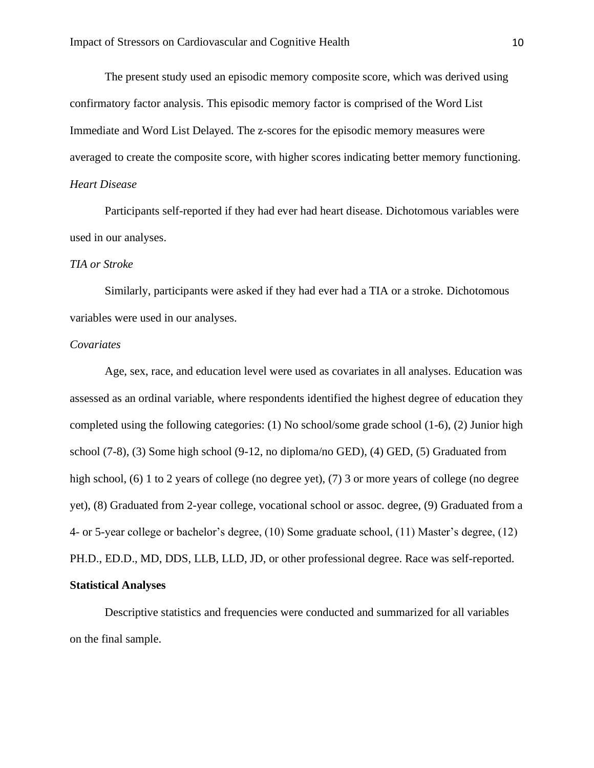The present study used an episodic memory composite score, which was derived using confirmatory factor analysis. This episodic memory factor is comprised of the Word List Immediate and Word List Delayed. The z-scores for the episodic memory measures were averaged to create the composite score, with higher scores indicating better memory functioning. *Heart Disease* 

Participants self-reported if they had ever had heart disease. Dichotomous variables were used in our analyses.

# *TIA or Stroke*

Similarly, participants were asked if they had ever had a TIA or a stroke. Dichotomous variables were used in our analyses.

### *Covariates*

Age, sex, race, and education level were used as covariates in all analyses. Education was assessed as an ordinal variable, where respondents identified the highest degree of education they completed using the following categories: (1) No school/some grade school (1-6), (2) Junior high school (7-8), (3) Some high school (9-12, no diploma/no GED), (4) GED, (5) Graduated from high school, (6) 1 to 2 years of college (no degree yet), (7) 3 or more years of college (no degree yet), (8) Graduated from 2-year college, vocational school or assoc. degree, (9) Graduated from a 4- or 5-year college or bachelor's degree, (10) Some graduate school, (11) Master's degree, (12) PH.D., ED.D., MD, DDS, LLB, LLD, JD, or other professional degree. Race was self-reported. **Statistical Analyses**

Descriptive statistics and frequencies were conducted and summarized for all variables on the final sample.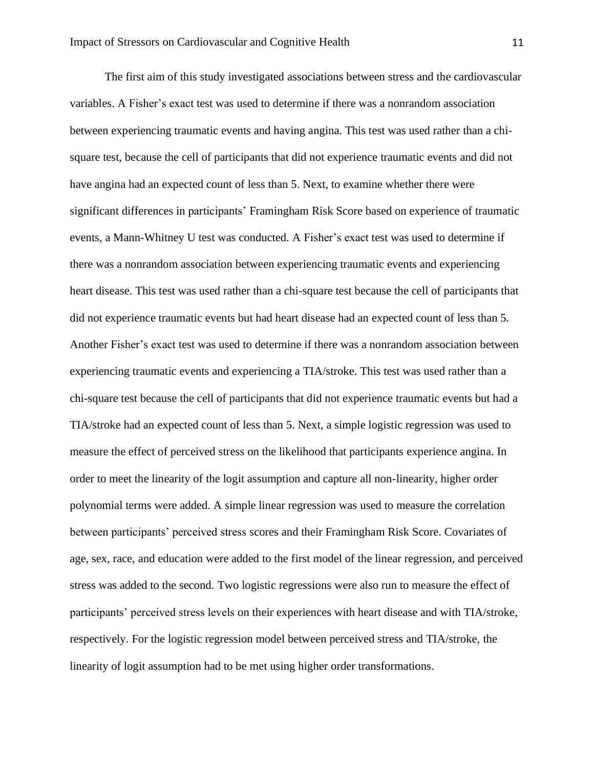The first aim of this study investigated associations between stress and the cardiovascular variables. A Fisher's exact test was used to determine if there was a nonrandom association between experiencing traumatic events and having angina. This test was used rather than a chisquare test, because the cell of participants that did not experience traumatic events and did not have angina had an expected count of less than 5. Next, to examine whether there were significant differences in participants' Framingham Risk Score based on experience of traumatic events, a Mann-Whitney U test was conducted. A Fisher's exact test was used to determine if there was a nonrandom association between experiencing traumatic events and experiencing heart disease. This test was used rather than a chi-square test because the cell of participants that did not experience traumatic events but had heart disease had an expected count of less than 5. Another Fisher's exact test was used to determine if there was a nonrandom association between experiencing traumatic events and experiencing a TIA/stroke. This test was used rather than a chi-square test because the cell of participants that did not experience traumatic events but had a TIA/stroke had an expected count of less than 5. Next, a simple logistic regression was used to measure the effect of perceived stress on the likelihood that participants experience angina. In order to meet the linearity of the logit assumption and capture all non-linearity, higher order polynomial terms were added. A simple linear regression was used to measure the correlation between participants' perceived stress scores and their Framingham Risk Score. Covariates of age, sex, race, and education were added to the first model of the linear regression, and perceived stress was added to the second. Two logistic regressions were also run to measure the effect of participants' perceived stress levels on their experiences with heart disease and with TIA/stroke, respectively. For the logistic regression model between perceived stress and TIA/stroke, the linearity of logit assumption had to be met using higher order transformations.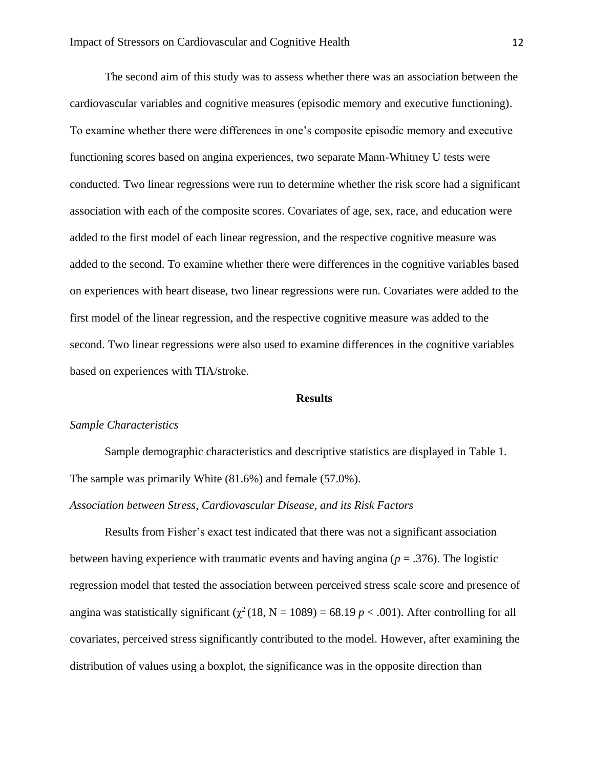The second aim of this study was to assess whether there was an association between the cardiovascular variables and cognitive measures (episodic memory and executive functioning). To examine whether there were differences in one's composite episodic memory and executive functioning scores based on angina experiences, two separate Mann-Whitney U tests were conducted. Two linear regressions were run to determine whether the risk score had a significant association with each of the composite scores. Covariates of age, sex, race, and education were added to the first model of each linear regression, and the respective cognitive measure was added to the second. To examine whether there were differences in the cognitive variables based on experiences with heart disease, two linear regressions were run. Covariates were added to the first model of the linear regression, and the respective cognitive measure was added to the second. Two linear regressions were also used to examine differences in the cognitive variables based on experiences with TIA/stroke.

#### **Results**

## *Sample Characteristics*

Sample demographic characteristics and descriptive statistics are displayed in Table 1. The sample was primarily White (81.6%) and female (57.0%).

# *Association between Stress, Cardiovascular Disease, and its Risk Factors*

Results from Fisher's exact test indicated that there was not a significant association between having experience with traumatic events and having angina (*p* = .376). The logistic regression model that tested the association between perceived stress scale score and presence of angina was statistically significant ( $\chi^2$  (18, N = 1089) = 68.19 *p* < .001). After controlling for all covariates, perceived stress significantly contributed to the model. However, after examining the distribution of values using a boxplot, the significance was in the opposite direction than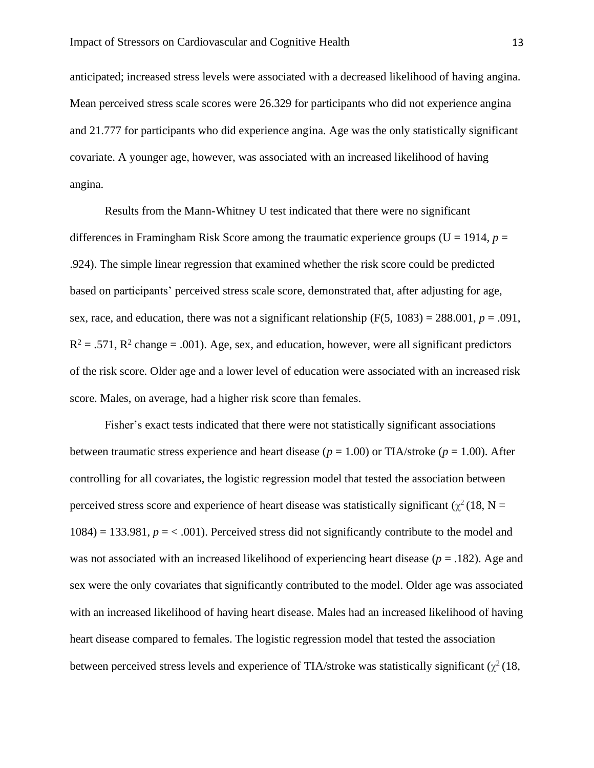anticipated; increased stress levels were associated with a decreased likelihood of having angina. Mean perceived stress scale scores were 26.329 for participants who did not experience angina and 21.777 for participants who did experience angina. Age was the only statistically significant covariate. A younger age, however, was associated with an increased likelihood of having angina.

Results from the Mann-Whitney U test indicated that there were no significant differences in Framingham Risk Score among the traumatic experience groups ( $U = 1914$ ,  $p =$ .924). The simple linear regression that examined whether the risk score could be predicted based on participants' perceived stress scale score, demonstrated that, after adjusting for age, sex, race, and education, there was not a significant relationship  $(F(5, 1083) = 288.001, p = .091,$  $R^2 = .571$ ,  $R^2$  change = .001). Age, sex, and education, however, were all significant predictors of the risk score. Older age and a lower level of education were associated with an increased risk score. Males, on average, had a higher risk score than females.

Fisher's exact tests indicated that there were not statistically significant associations between traumatic stress experience and heart disease ( $p = 1.00$ ) or TIA/stroke ( $p = 1.00$ ). After controlling for all covariates, the logistic regression model that tested the association between perceived stress score and experience of heart disease was statistically significant ( $\chi^2$  (18, N =  $1084$  = 133.981,  $p = 0.001$ . Perceived stress did not significantly contribute to the model and was not associated with an increased likelihood of experiencing heart disease (*p* = .182). Age and sex were the only covariates that significantly contributed to the model. Older age was associated with an increased likelihood of having heart disease. Males had an increased likelihood of having heart disease compared to females. The logistic regression model that tested the association between perceived stress levels and experience of TIA/stroke was statistically significant  $(\chi^2(18,$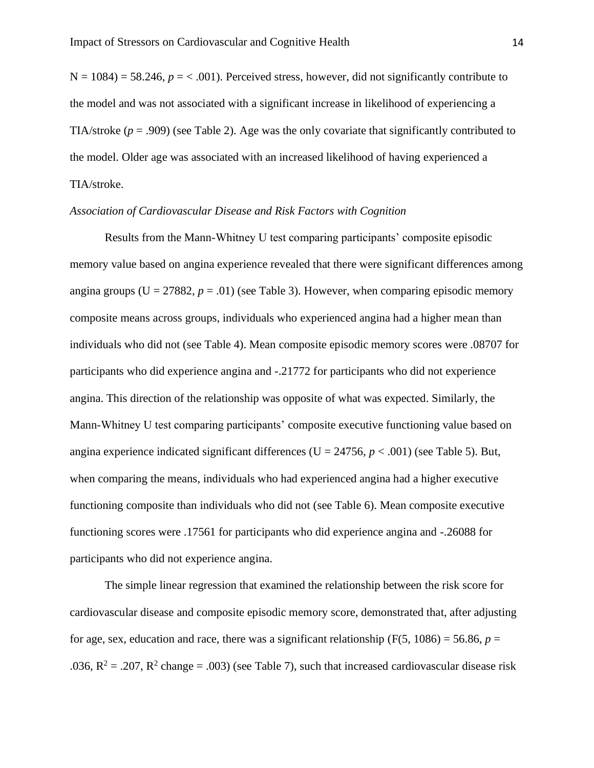$N = 1084$  = 58.246,  $p = < .001$ ). Perceived stress, however, did not significantly contribute to the model and was not associated with a significant increase in likelihood of experiencing a TIA/stroke  $(p = .909)$  (see Table 2). Age was the only covariate that significantly contributed to the model. Older age was associated with an increased likelihood of having experienced a TIA/stroke.

### *Association of Cardiovascular Disease and Risk Factors with Cognition*

Results from the Mann-Whitney U test comparing participants' composite episodic memory value based on angina experience revealed that there were significant differences among angina groups ( $U = 27882$ ,  $p = .01$ ) (see Table 3). However, when comparing episodic memory composite means across groups, individuals who experienced angina had a higher mean than individuals who did not (see Table 4). Mean composite episodic memory scores were .08707 for participants who did experience angina and -.21772 for participants who did not experience angina. This direction of the relationship was opposite of what was expected. Similarly, the Mann-Whitney U test comparing participants' composite executive functioning value based on angina experience indicated significant differences ( $U = 24756$ ,  $p < .001$ ) (see Table 5). But, when comparing the means, individuals who had experienced angina had a higher executive functioning composite than individuals who did not (see Table 6). Mean composite executive functioning scores were .17561 for participants who did experience angina and -.26088 for participants who did not experience angina.

The simple linear regression that examined the relationship between the risk score for cardiovascular disease and composite episodic memory score, demonstrated that, after adjusting for age, sex, education and race, there was a significant relationship ( $F(5, 1086) = 56.86$ ,  $p =$ .036,  $R^2 = .207$ ,  $R^2$  change = .003) (see Table 7), such that increased cardiovascular disease risk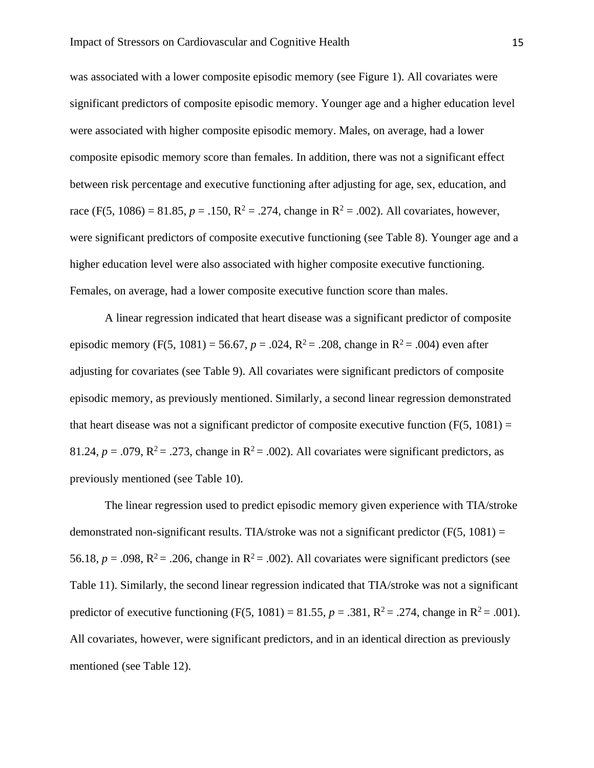was associated with a lower composite episodic memory (see Figure 1). All covariates were significant predictors of composite episodic memory. Younger age and a higher education level were associated with higher composite episodic memory. Males, on average, had a lower composite episodic memory score than females. In addition, there was not a significant effect between risk percentage and executive functioning after adjusting for age, sex, education, and race (F(5, 1086) = 81.85,  $p = .150$ ,  $R^2 = .274$ , change in  $R^2 = .002$ ). All covariates, however, were significant predictors of composite executive functioning (see Table 8). Younger age and a higher education level were also associated with higher composite executive functioning. Females, on average, had a lower composite executive function score than males.

A linear regression indicated that heart disease was a significant predictor of composite episodic memory (F(5, 1081) = 56.67,  $p = .024$ ,  $R^2 = .208$ , change in  $R^2 = .004$ ) even after adjusting for covariates (see Table 9). All covariates were significant predictors of composite episodic memory, as previously mentioned. Similarly, a second linear regression demonstrated that heart disease was not a significant predictor of composite executive function  $(F(5, 1081) =$ 81.24,  $p = .079$ ,  $R^2 = .273$ , change in  $R^2 = .002$ ). All covariates were significant predictors, as previously mentioned (see Table 10).

The linear regression used to predict episodic memory given experience with TIA/stroke demonstrated non-significant results. TIA/stroke was not a significant predictor ( $F(5, 1081) =$ 56.18,  $p = .098$ ,  $R^2 = .206$ , change in  $R^2 = .002$ ). All covariates were significant predictors (see Table 11). Similarly, the second linear regression indicated that TIA/stroke was not a significant predictor of executive functioning (F(5, 1081) = 81.55,  $p = .381$ ,  $R^2 = .274$ , change in  $R^2 = .001$ ). All covariates, however, were significant predictors, and in an identical direction as previously mentioned (see Table 12).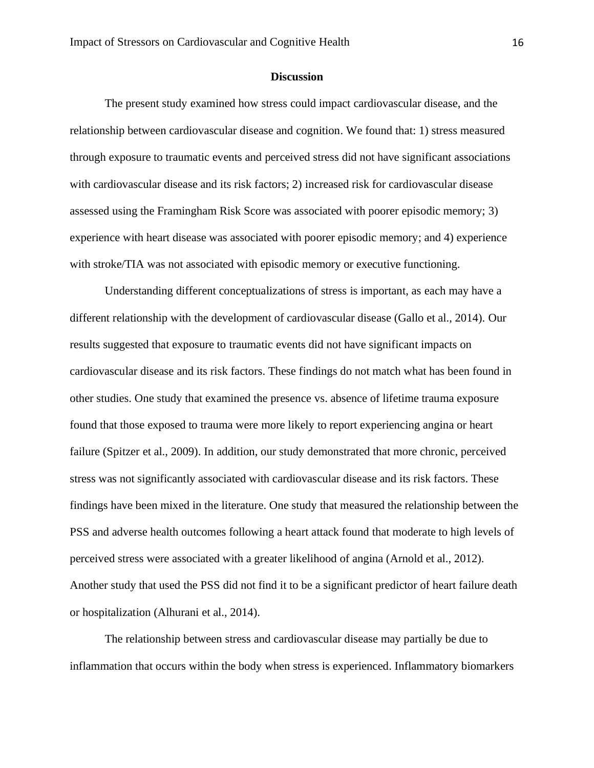# **Discussion**

The present study examined how stress could impact cardiovascular disease, and the relationship between cardiovascular disease and cognition. We found that: 1) stress measured through exposure to traumatic events and perceived stress did not have significant associations with cardiovascular disease and its risk factors; 2) increased risk for cardiovascular disease assessed using the Framingham Risk Score was associated with poorer episodic memory; 3) experience with heart disease was associated with poorer episodic memory; and 4) experience with stroke/TIA was not associated with episodic memory or executive functioning.

Understanding different conceptualizations of stress is important, as each may have a different relationship with the development of cardiovascular disease (Gallo et al., 2014). Our results suggested that exposure to traumatic events did not have significant impacts on cardiovascular disease and its risk factors. These findings do not match what has been found in other studies. One study that examined the presence vs. absence of lifetime trauma exposure found that those exposed to trauma were more likely to report experiencing angina or heart failure (Spitzer et al., 2009). In addition, our study demonstrated that more chronic, perceived stress was not significantly associated with cardiovascular disease and its risk factors. These findings have been mixed in the literature. One study that measured the relationship between the PSS and adverse health outcomes following a heart attack found that moderate to high levels of perceived stress were associated with a greater likelihood of angina (Arnold et al., 2012). Another study that used the PSS did not find it to be a significant predictor of heart failure death or hospitalization (Alhurani et al., 2014).

The relationship between stress and cardiovascular disease may partially be due to inflammation that occurs within the body when stress is experienced. Inflammatory biomarkers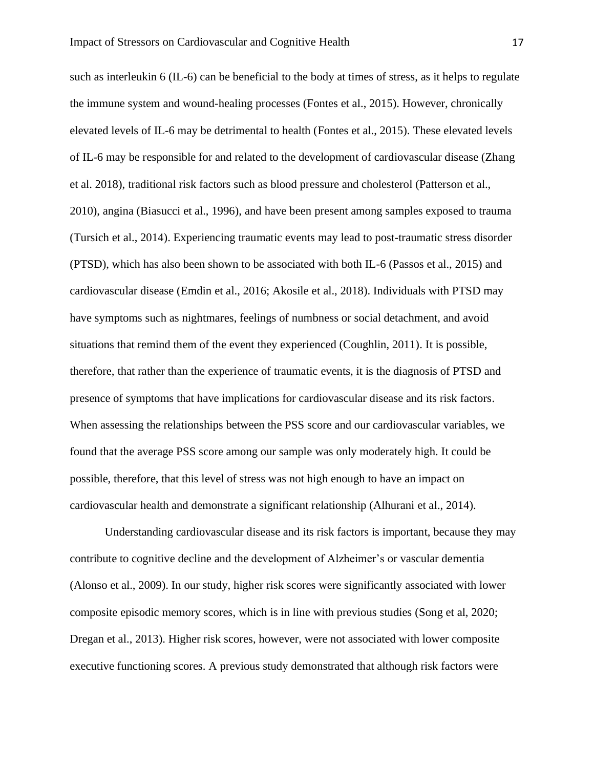such as interleukin 6 (IL-6) can be beneficial to the body at times of stress, as it helps to regulate the immune system and wound-healing processes (Fontes et al., 2015). However, chronically elevated levels of IL-6 may be detrimental to health (Fontes et al., 2015). These elevated levels of IL-6 may be responsible for and related to the development of cardiovascular disease (Zhang et al. 2018), traditional risk factors such as blood pressure and cholesterol (Patterson et al., 2010), angina (Biasucci et al., 1996), and have been present among samples exposed to trauma (Tursich et al., 2014). Experiencing traumatic events may lead to post-traumatic stress disorder (PTSD), which has also been shown to be associated with both IL-6 (Passos et al., 2015) and cardiovascular disease (Emdin et al., 2016; Akosile et al., 2018). Individuals with PTSD may have symptoms such as nightmares, feelings of numbness or social detachment, and avoid situations that remind them of the event they experienced (Coughlin, 2011). It is possible, therefore, that rather than the experience of traumatic events, it is the diagnosis of PTSD and presence of symptoms that have implications for cardiovascular disease and its risk factors. When assessing the relationships between the PSS score and our cardiovascular variables, we found that the average PSS score among our sample was only moderately high. It could be possible, therefore, that this level of stress was not high enough to have an impact on cardiovascular health and demonstrate a significant relationship (Alhurani et al., 2014).

Understanding cardiovascular disease and its risk factors is important, because they may contribute to cognitive decline and the development of Alzheimer's or vascular dementia (Alonso et al., 2009). In our study, higher risk scores were significantly associated with lower composite episodic memory scores, which is in line with previous studies (Song et al, 2020; Dregan et al., 2013). Higher risk scores, however, were not associated with lower composite executive functioning scores. A previous study demonstrated that although risk factors were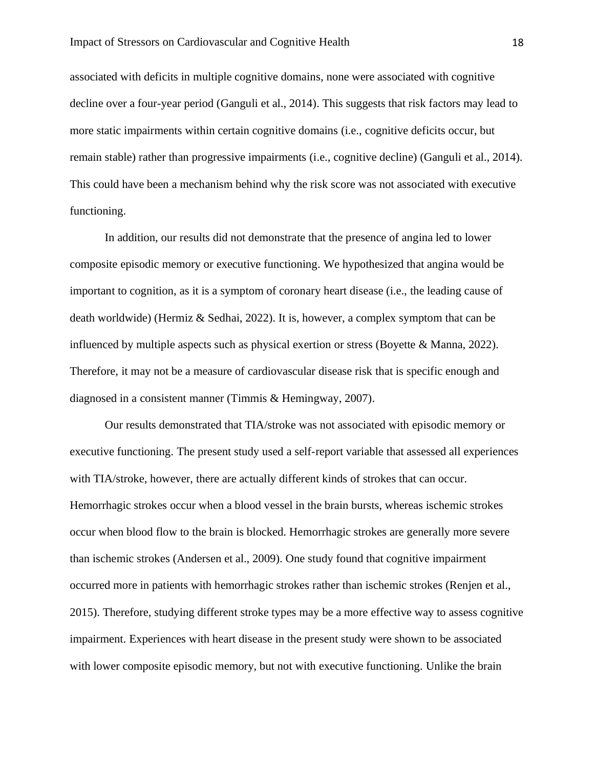associated with deficits in multiple cognitive domains, none were associated with cognitive decline over a four-year period (Ganguli et al., 2014). This suggests that risk factors may lead to more static impairments within certain cognitive domains (i.e., cognitive deficits occur, but remain stable) rather than progressive impairments (i.e., cognitive decline) (Ganguli et al., 2014). This could have been a mechanism behind why the risk score was not associated with executive functioning.

In addition, our results did not demonstrate that the presence of angina led to lower composite episodic memory or executive functioning. We hypothesized that angina would be important to cognition, as it is a symptom of coronary heart disease (i.e., the leading cause of death worldwide) (Hermiz & Sedhai, 2022). It is, however, a complex symptom that can be influenced by multiple aspects such as physical exertion or stress (Boyette & Manna, 2022). Therefore, it may not be a measure of cardiovascular disease risk that is specific enough and diagnosed in a consistent manner (Timmis & Hemingway, 2007).

Our results demonstrated that TIA/stroke was not associated with episodic memory or executive functioning. The present study used a self-report variable that assessed all experiences with TIA/stroke, however, there are actually different kinds of strokes that can occur. Hemorrhagic strokes occur when a blood vessel in the brain bursts, whereas ischemic strokes occur when blood flow to the brain is blocked. Hemorrhagic strokes are generally more severe than ischemic strokes (Andersen et al., 2009). One study found that cognitive impairment occurred more in patients with hemorrhagic strokes rather than ischemic strokes (Renjen et al., 2015). Therefore, studying different stroke types may be a more effective way to assess cognitive impairment. Experiences with heart disease in the present study were shown to be associated with lower composite episodic memory, but not with executive functioning. Unlike the brain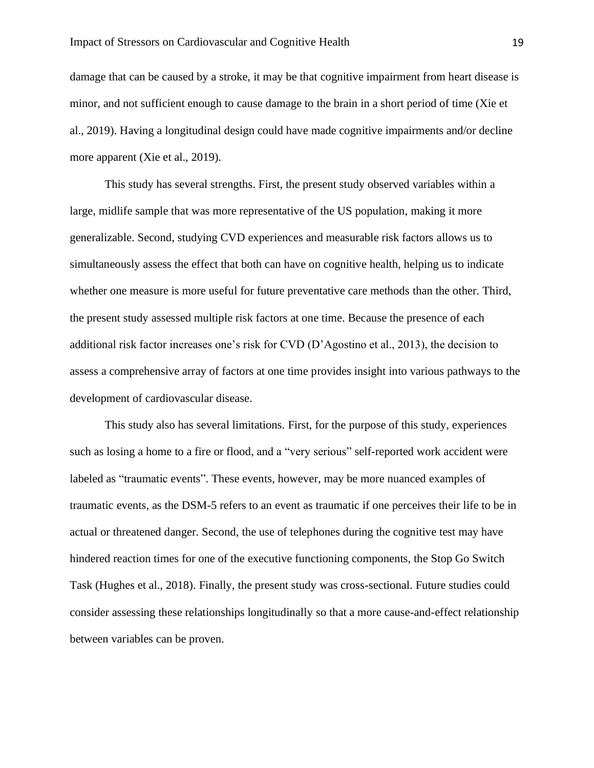damage that can be caused by a stroke, it may be that cognitive impairment from heart disease is minor, and not sufficient enough to cause damage to the brain in a short period of time (Xie et al., 2019). Having a longitudinal design could have made cognitive impairments and/or decline more apparent (Xie et al., 2019).

This study has several strengths. First, the present study observed variables within a large, midlife sample that was more representative of the US population, making it more generalizable. Second, studying CVD experiences and measurable risk factors allows us to simultaneously assess the effect that both can have on cognitive health, helping us to indicate whether one measure is more useful for future preventative care methods than the other. Third, the present study assessed multiple risk factors at one time. Because the presence of each additional risk factor increases one's risk for CVD (D'Agostino et al., 2013), the decision to assess a comprehensive array of factors at one time provides insight into various pathways to the development of cardiovascular disease.

This study also has several limitations. First, for the purpose of this study, experiences such as losing a home to a fire or flood, and a "very serious" self-reported work accident were labeled as "traumatic events". These events, however, may be more nuanced examples of traumatic events, as the DSM-5 refers to an event as traumatic if one perceives their life to be in actual or threatened danger. Second, the use of telephones during the cognitive test may have hindered reaction times for one of the executive functioning components, the Stop Go Switch Task (Hughes et al., 2018). Finally, the present study was cross-sectional. Future studies could consider assessing these relationships longitudinally so that a more cause-and-effect relationship between variables can be proven.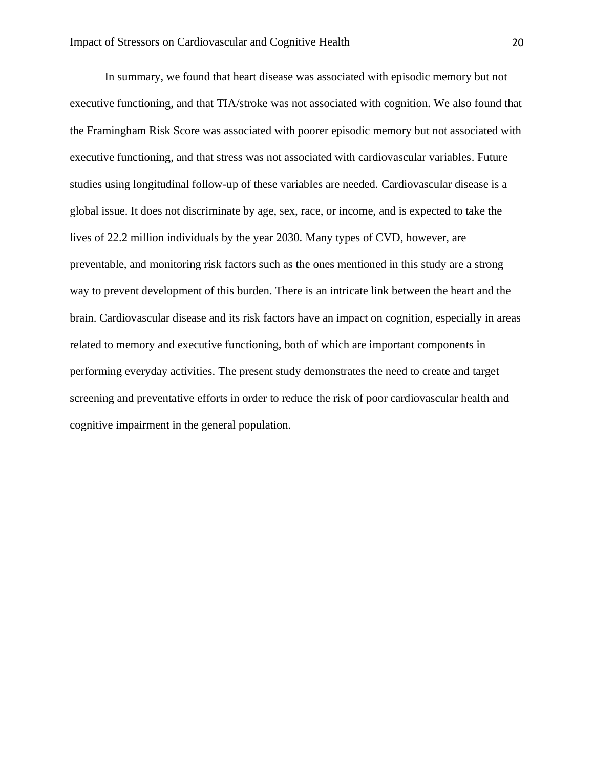In summary, we found that heart disease was associated with episodic memory but not executive functioning, and that TIA/stroke was not associated with cognition. We also found that the Framingham Risk Score was associated with poorer episodic memory but not associated with executive functioning, and that stress was not associated with cardiovascular variables. Future studies using longitudinal follow-up of these variables are needed. Cardiovascular disease is a global issue. It does not discriminate by age, sex, race, or income, and is expected to take the lives of 22.2 million individuals by the year 2030. Many types of CVD, however, are preventable, and monitoring risk factors such as the ones mentioned in this study are a strong way to prevent development of this burden. There is an intricate link between the heart and the brain. Cardiovascular disease and its risk factors have an impact on cognition, especially in areas related to memory and executive functioning, both of which are important components in performing everyday activities. The present study demonstrates the need to create and target screening and preventative efforts in order to reduce the risk of poor cardiovascular health and cognitive impairment in the general population.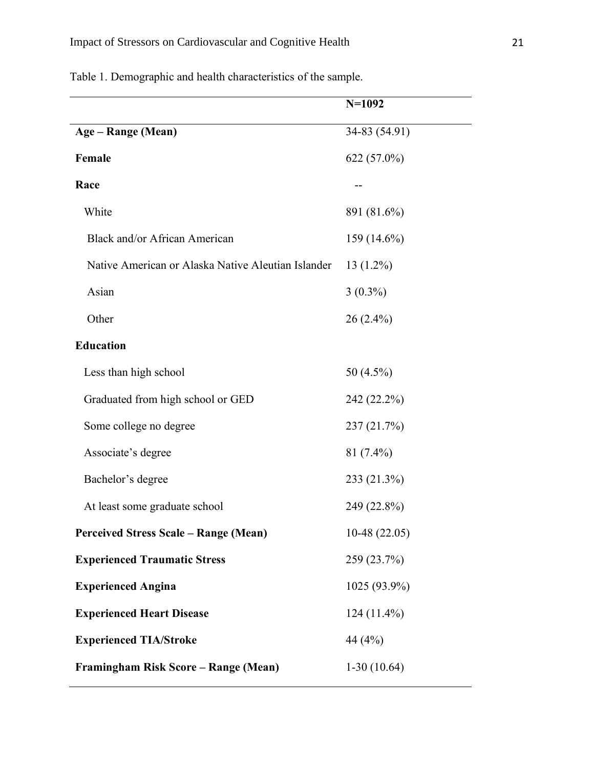Table 1. Demographic and health characteristics of the sample.

|                                                    | $N=1092$       |
|----------------------------------------------------|----------------|
| Age – Range (Mean)                                 | 34-83 (54.91)  |
| Female                                             | 622 (57.0%)    |
| Race                                               |                |
| White                                              | 891 (81.6%)    |
| Black and/or African American                      | 159 (14.6%)    |
| Native American or Alaska Native Aleutian Islander | $13(1.2\%)$    |
| Asian                                              | $3(0.3\%)$     |
| Other                                              | $26(2.4\%)$    |
| <b>Education</b>                                   |                |
| Less than high school                              | 50 (4.5%)      |
| Graduated from high school or GED                  | 242 (22.2%)    |
| Some college no degree                             | 237 (21.7%)    |
| Associate's degree                                 | $81(7.4\%)$    |
| Bachelor's degree                                  | 233 (21.3%)    |
| At least some graduate school                      | 249 (22.8%)    |
| <b>Perceived Stress Scale – Range (Mean)</b>       | $10-48(22.05)$ |
| <b>Experienced Traumatic Stress</b>                | 259 (23.7%)    |
| <b>Experienced Angina</b>                          | 1025 (93.9%)   |
| <b>Experienced Heart Disease</b>                   | $124(11.4\%)$  |
| <b>Experienced TIA/Stroke</b>                      | 44 (4%)        |
| Framingham Risk Score – Range (Mean)               | $1-30(10.64)$  |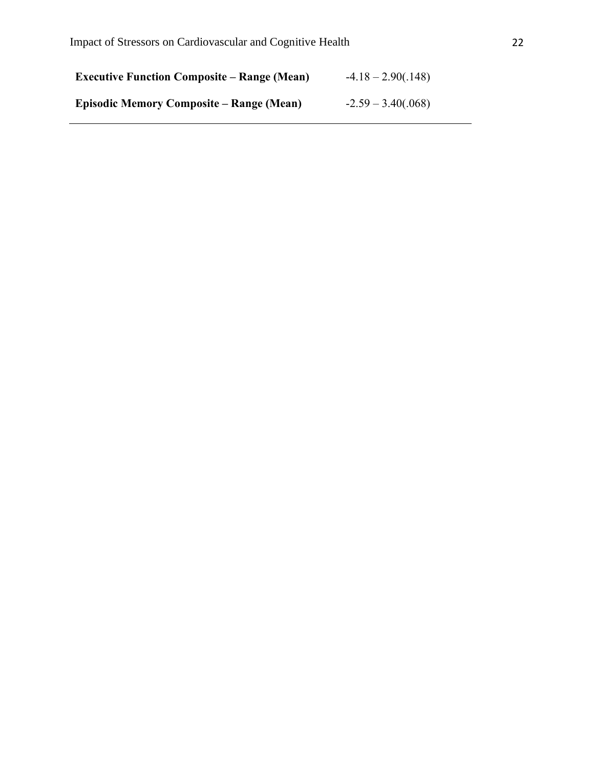| <b>Executive Function Composite – Range (Mean)</b> | $-4.18 - 2.90(.148)$ |
|----------------------------------------------------|----------------------|
| Episodic Memory Composite – Range (Mean)           | $-2.59 - 3.40(.068)$ |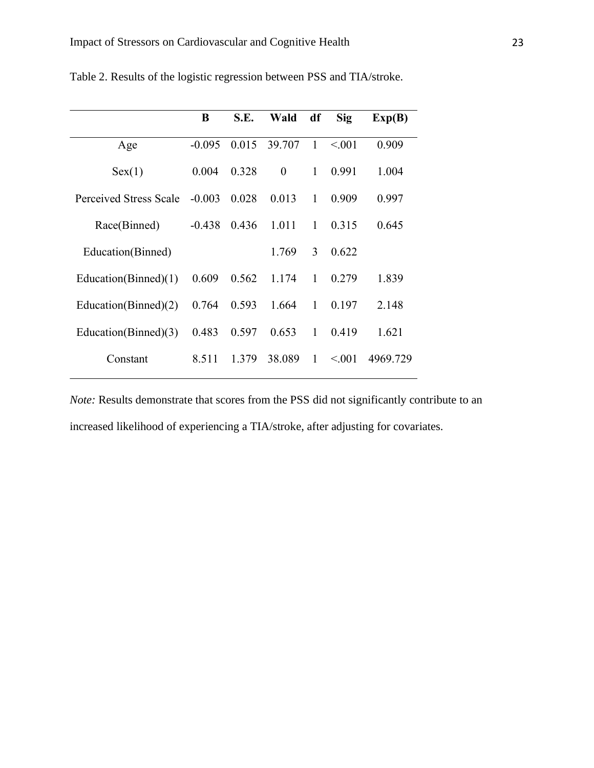|                         | B        | S.E.  | Wald           | df           | Sig     | Exp(B)   |
|-------------------------|----------|-------|----------------|--------------|---------|----------|
| Age                     | $-0.095$ | 0.015 | 39.707         | $\mathbf{1}$ | < 0.001 | 0.909    |
| Sex(1)                  | 0.004    | 0.328 | $\overline{0}$ | 1            | 0.991   | 1.004    |
| Perceived Stress Scale  | $-0.003$ | 0.028 | 0.013          | 1            | 0.909   | 0.997    |
| Race(Binned)            | $-0.438$ | 0.436 | 1.011          | $\mathbf{1}$ | 0.315   | 0.645    |
| Education(Binned)       |          |       | 1.769          | 3            | 0.622   |          |
| Education(Binned) $(1)$ | 0.609    | 0.562 | 1.174          | 1            | 0.279   | 1.839    |
| Education(Binned) $(2)$ | 0.764    | 0.593 | 1.664          | 1            | 0.197   | 2.148    |
| Education(Binned)(3)    | 0.483    | 0.597 | 0.653          | 1            | 0.419   | 1.621    |
| Constant                | 8.511    | 1.379 | 38.089         | 1            | < 0.001 | 4969.729 |

Table 2. Results of the logistic regression between PSS and TIA/stroke.

*Note:* Results demonstrate that scores from the PSS did not significantly contribute to an increased likelihood of experiencing a TIA/stroke, after adjusting for covariates.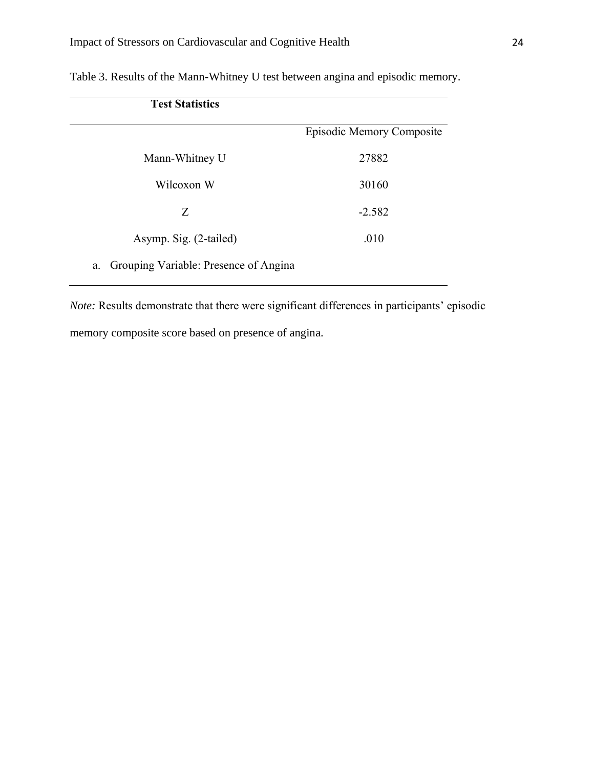| <b>Test Statistics</b>                      |                           |
|---------------------------------------------|---------------------------|
|                                             | Episodic Memory Composite |
| Mann-Whitney U                              | 27882                     |
| Wilcoxon W                                  | 30160                     |
| Z                                           | $-2.582$                  |
| Asymp. Sig. (2-tailed)                      | .010                      |
| Grouping Variable: Presence of Angina<br>a. |                           |

Table 3. Results of the Mann-Whitney U test between angina and episodic memory.

*Note:* Results demonstrate that there were significant differences in participants' episodic memory composite score based on presence of angina.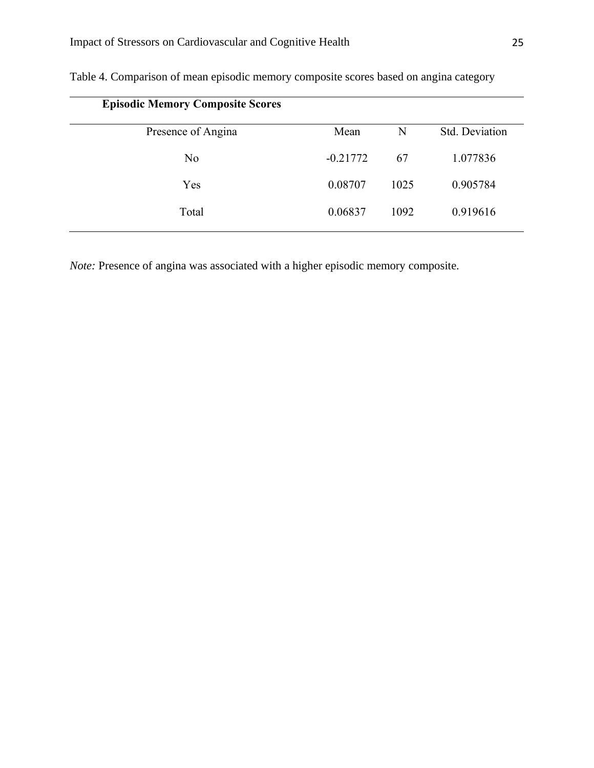| <b>Episodic Memory Composite Scores</b> |            |      |                |
|-----------------------------------------|------------|------|----------------|
| Presence of Angina                      | Mean       | N    | Std. Deviation |
| N <sub>o</sub>                          | $-0.21772$ | 67   | 1.077836       |
| Yes                                     | 0.08707    | 1025 | 0.905784       |
| Total                                   | 0.06837    | 1092 | 0.919616       |

Table 4. Comparison of mean episodic memory composite scores based on angina category

*Note:* Presence of angina was associated with a higher episodic memory composite.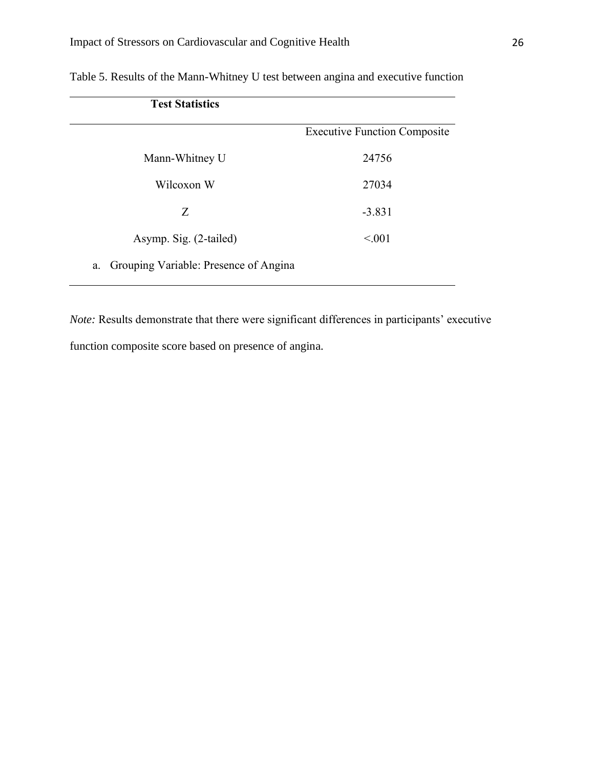| <b>Test Statistics</b>                      |                                     |
|---------------------------------------------|-------------------------------------|
|                                             | <b>Executive Function Composite</b> |
| Mann-Whitney U                              | 24756                               |
| Wilcoxon W                                  | 27034                               |
| Ζ                                           | $-3.831$                            |
| Asymp. Sig. (2-tailed)                      | < 0.01                              |
| Grouping Variable: Presence of Angina<br>a. |                                     |

Table 5. Results of the Mann-Whitney U test between angina and executive function

*Note:* Results demonstrate that there were significant differences in participants' executive function composite score based on presence of angina.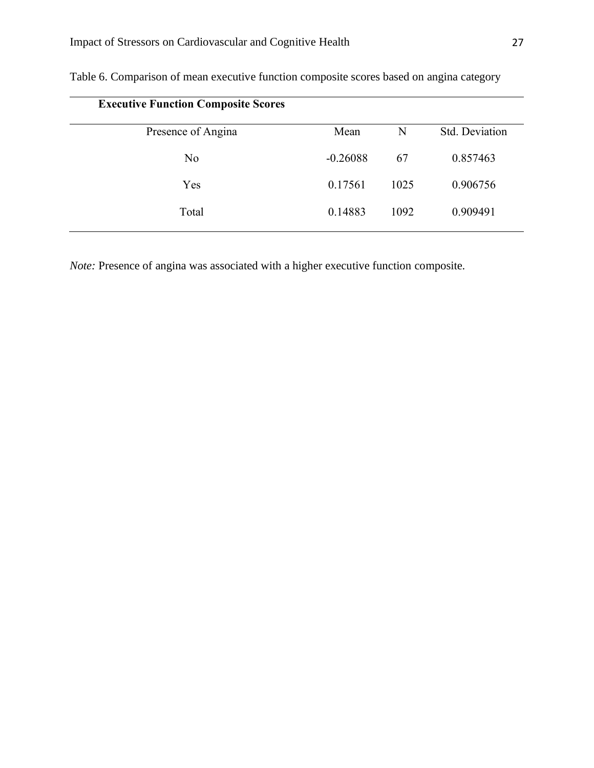| <b>Executive Function Composite Scores</b> |            |      |                |
|--------------------------------------------|------------|------|----------------|
| Presence of Angina                         | Mean       | N    | Std. Deviation |
| N <sub>o</sub>                             | $-0.26088$ | 67   | 0.857463       |
| Yes                                        | 0.17561    | 1025 | 0.906756       |
| Total                                      | 0.14883    | 1092 | 0.909491       |

Table 6. Comparison of mean executive function composite scores based on angina category

*Note:* Presence of angina was associated with a higher executive function composite.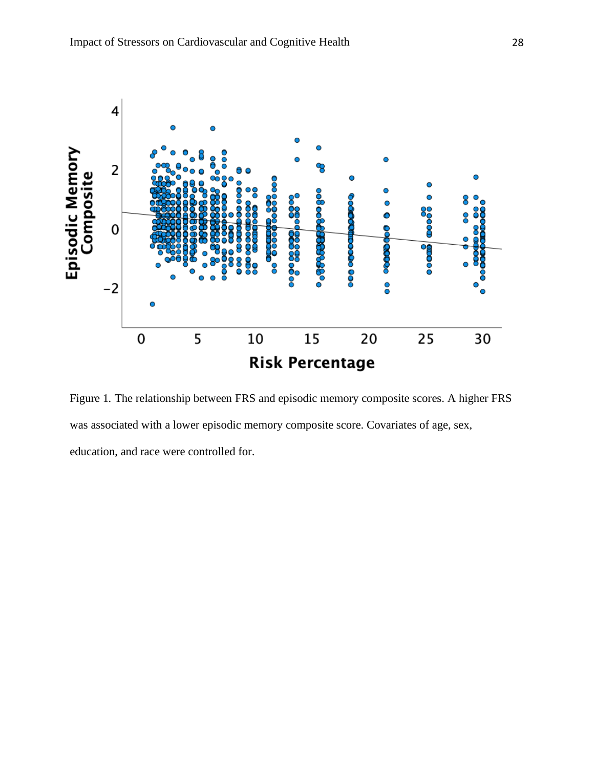

Figure 1*.* The relationship between FRS and episodic memory composite scores. A higher FRS was associated with a lower episodic memory composite score. Covariates of age, sex, education, and race were controlled for.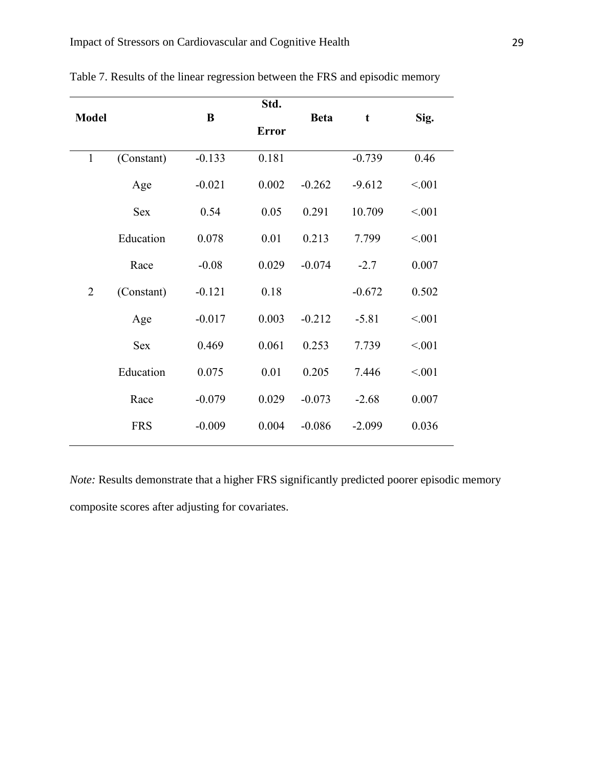|                |            |          | Std.         |             |          |         |
|----------------|------------|----------|--------------|-------------|----------|---------|
| <b>Model</b>   |            | $\bf{B}$ | <b>Error</b> | <b>Beta</b> | t        | Sig.    |
|                |            |          |              |             |          |         |
| $\mathbf{1}$   | (Constant) | $-0.133$ | 0.181        |             | $-0.739$ | 0.46    |
|                | Age        | $-0.021$ | 0.002        | $-0.262$    | $-9.612$ | < 0.001 |
|                | <b>Sex</b> | 0.54     | 0.05         | 0.291       | 10.709   | < 0.01  |
|                | Education  | 0.078    | 0.01         | 0.213       | 7.799    | < 0.001 |
|                | Race       | $-0.08$  | 0.029        | $-0.074$    | $-2.7$   | 0.007   |
| $\overline{2}$ | (Constant) | $-0.121$ | 0.18         |             | $-0.672$ | 0.502   |
|                | Age        | $-0.017$ | 0.003        | $-0.212$    | $-5.81$  | < 0.001 |
|                | <b>Sex</b> | 0.469    | 0.061        | 0.253       | 7.739    | < 0.01  |
|                | Education  | 0.075    | 0.01         | 0.205       | 7.446    | < 0.001 |
|                | Race       | $-0.079$ | 0.029        | $-0.073$    | $-2.68$  | 0.007   |
|                | <b>FRS</b> | $-0.009$ | 0.004        | $-0.086$    | $-2.099$ | 0.036   |
|                |            |          |              |             |          |         |

Table 7. Results of the linear regression between the FRS and episodic memory

*Note:* Results demonstrate that a higher FRS significantly predicted poorer episodic memory composite scores after adjusting for covariates.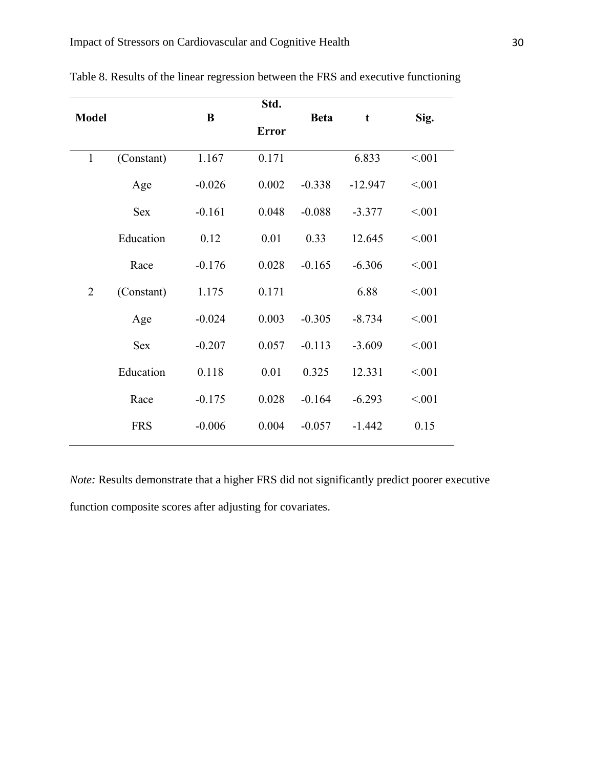|                |            |          | Std.         |             |           |         |
|----------------|------------|----------|--------------|-------------|-----------|---------|
| <b>Model</b>   |            | $\bf{B}$ | <b>Error</b> | <b>Beta</b> | t         | Sig.    |
|                |            |          |              |             |           |         |
| $\mathbf{1}$   | (Constant) | 1.167    | 0.171        |             | 6.833     | < 0.001 |
|                | Age        | $-0.026$ | 0.002        | $-0.338$    | $-12.947$ | < 0.001 |
|                | <b>Sex</b> | $-0.161$ | 0.048        | $-0.088$    | $-3.377$  | < 0.01  |
|                | Education  | 0.12     | 0.01         | 0.33        | 12.645    | < 0.001 |
|                | Race       | $-0.176$ | 0.028        | $-0.165$    | $-6.306$  | < 0.001 |
| $\overline{2}$ | (Constant) | 1.175    | 0.171        |             | 6.88      | < 0.001 |
|                | Age        | $-0.024$ | 0.003        | $-0.305$    | $-8.734$  | < 0.001 |
|                | Sex        | $-0.207$ | 0.057        | $-0.113$    | $-3.609$  | < 0.01  |
|                | Education  | 0.118    | 0.01         | 0.325       | 12.331    | < 0.001 |
|                | Race       | $-0.175$ | 0.028        | $-0.164$    | $-6.293$  | < 0.001 |
|                | <b>FRS</b> | $-0.006$ | 0.004        | $-0.057$    | $-1.442$  | 0.15    |
|                |            |          |              |             |           |         |

Table 8. Results of the linear regression between the FRS and executive functioning

*Note:* Results demonstrate that a higher FRS did not significantly predict poorer executive function composite scores after adjusting for covariates.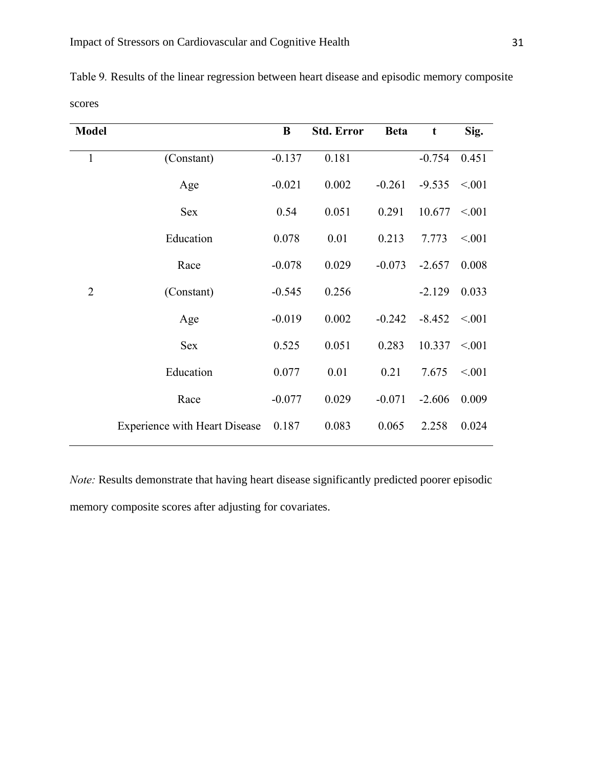| <b>Model</b>   |                                      | B        | <b>Std. Error</b> | <b>Beta</b> | t        | Sig.   |
|----------------|--------------------------------------|----------|-------------------|-------------|----------|--------|
| 1              | (Constant)                           | $-0.137$ | 0.181             |             | $-0.754$ | 0.451  |
|                | Age                                  | $-0.021$ | 0.002             | $-0.261$    | $-9.535$ | < 0.01 |
|                | Sex                                  | 0.54     | 0.051             | 0.291       | 10.677   | < 0.01 |
|                | Education                            | 0.078    | 0.01              | 0.213       | 7.773    | < 0.01 |
|                | Race                                 | $-0.078$ | 0.029             | $-0.073$    | $-2.657$ | 0.008  |
| $\overline{2}$ | (Constant)                           | $-0.545$ | 0.256             |             | $-2.129$ | 0.033  |
|                | Age                                  | $-0.019$ | 0.002             | $-0.242$    | $-8.452$ | < 0.01 |
|                | <b>Sex</b>                           | 0.525    | 0.051             | 0.283       | 10.337   | < 0.01 |
|                | Education                            | 0.077    | 0.01              | 0.21        | 7.675    | < 0.01 |
|                | Race                                 | $-0.077$ | 0.029             | $-0.071$    | $-2.606$ | 0.009  |
|                | <b>Experience with Heart Disease</b> | 0.187    | 0.083             | 0.065       | 2.258    | 0.024  |

Table 9*.* Results of the linear regression between heart disease and episodic memory composite scores

*Note:* Results demonstrate that having heart disease significantly predicted poorer episodic memory composite scores after adjusting for covariates.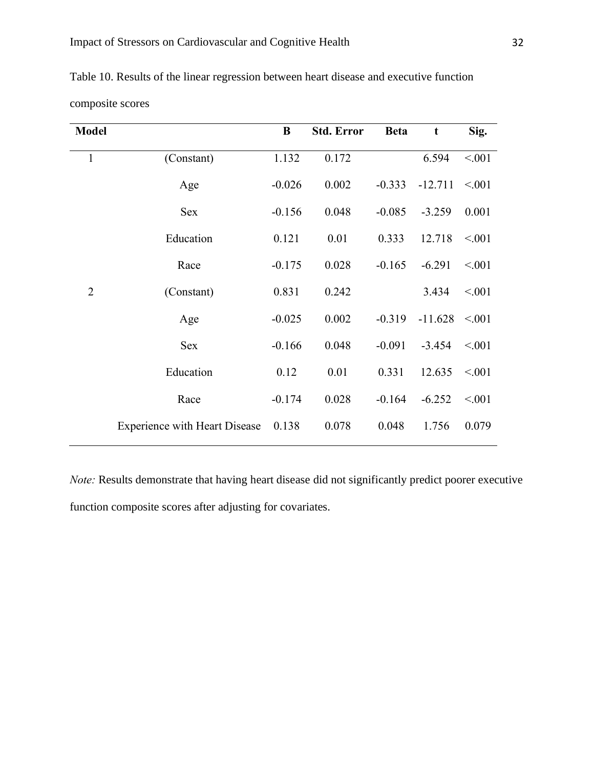| <b>Model</b>   |                                      | $\bf{B}$ | <b>Std. Error</b> | <b>Beta</b> | t         | Sig.    |
|----------------|--------------------------------------|----------|-------------------|-------------|-----------|---------|
| 1              | (Constant)                           | 1.132    | 0.172             |             | 6.594     | < 0.01  |
|                | Age                                  | $-0.026$ | 0.002             | $-0.333$    | $-12.711$ | < 0.01  |
|                | <b>Sex</b>                           | $-0.156$ | 0.048             | $-0.085$    | $-3.259$  | 0.001   |
|                | Education                            | 0.121    | 0.01              | 0.333       | 12.718    | < 0.01  |
|                | Race                                 | $-0.175$ | 0.028             | $-0.165$    | $-6.291$  | < 0.001 |
| $\overline{2}$ | (Constant)                           | 0.831    | 0.242             |             | 3.434     | < 0.01  |
|                | Age                                  | $-0.025$ | 0.002             | $-0.319$    | $-11.628$ | < 0.01  |
|                | <b>Sex</b>                           | $-0.166$ | 0.048             | $-0.091$    | $-3.454$  | < 0.001 |
|                | Education                            | 0.12     | 0.01              | 0.331       | 12.635    | < 0.01  |
|                | Race                                 | $-0.174$ | 0.028             | $-0.164$    | $-6.252$  | < 0.01  |
|                | <b>Experience with Heart Disease</b> | 0.138    | 0.078             | 0.048       | 1.756     | 0.079   |

Table 10. Results of the linear regression between heart disease and executive function

composite scores

*Note:* Results demonstrate that having heart disease did not significantly predict poorer executive function composite scores after adjusting for covariates.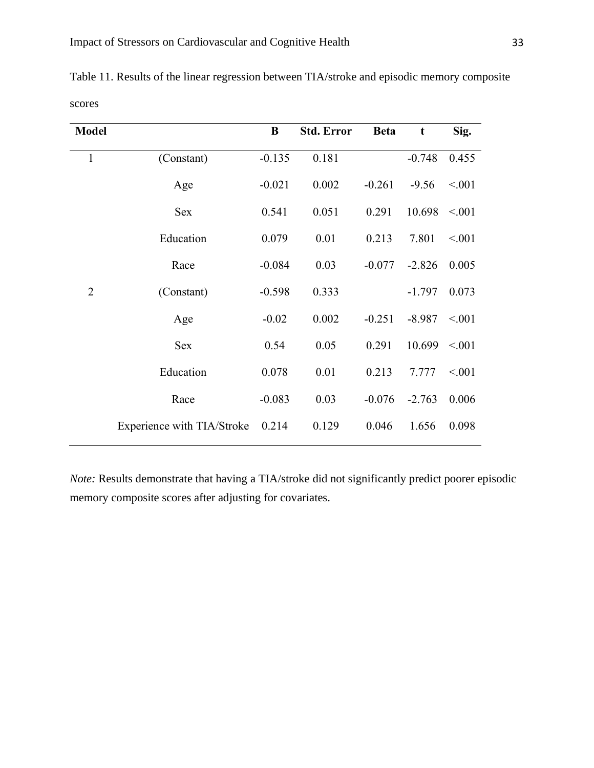| <b>Model</b>   |                            | B        | <b>Std. Error</b> | <b>Beta</b> | t        | Sig.    |
|----------------|----------------------------|----------|-------------------|-------------|----------|---------|
| $\mathbf{1}$   | (Constant)                 | $-0.135$ | 0.181             |             | $-0.748$ | 0.455   |
|                | Age                        | $-0.021$ | 0.002             | $-0.261$    | $-9.56$  | < 0.001 |
|                | <b>Sex</b>                 | 0.541    | 0.051             | 0.291       | 10.698   | < 0.001 |
|                | Education                  | 0.079    | 0.01              | 0.213       | 7.801    | < 0.001 |
|                | Race                       | $-0.084$ | 0.03              | $-0.077$    | $-2.826$ | 0.005   |
| $\overline{2}$ | (Constant)                 | $-0.598$ | 0.333             |             | $-1.797$ | 0.073   |
|                | Age                        | $-0.02$  | 0.002             | $-0.251$    | $-8.987$ | < 0.001 |
|                | <b>Sex</b>                 | 0.54     | 0.05              | 0.291       | 10.699   | < 0.01  |
|                | Education                  | 0.078    | 0.01              | 0.213       | 7.777    | < 0.001 |
|                | Race                       | $-0.083$ | 0.03              | $-0.076$    | $-2.763$ | 0.006   |
|                | Experience with TIA/Stroke | 0.214    | 0.129             | 0.046       | 1.656    | 0.098   |

Table 11. Results of the linear regression between TIA/stroke and episodic memory composite scores

*Note:* Results demonstrate that having a TIA/stroke did not significantly predict poorer episodic memory composite scores after adjusting for covariates.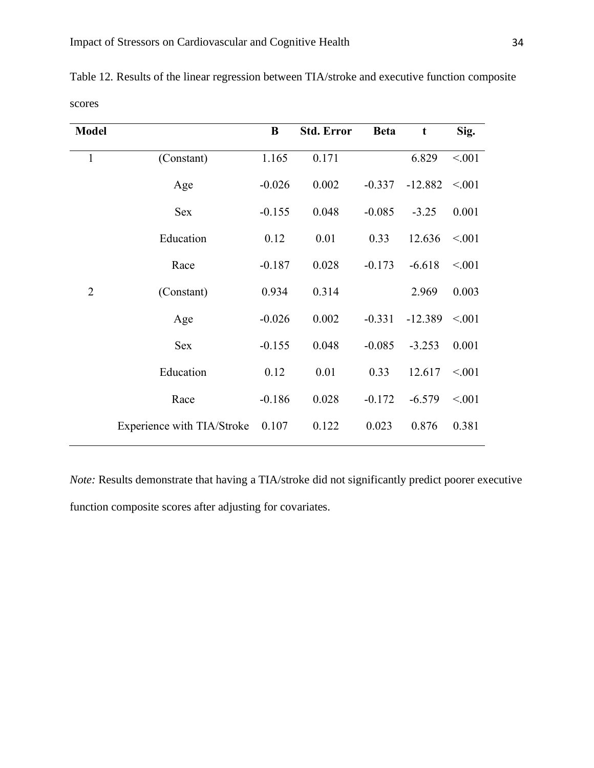| <b>Model</b>   |                            | B        | <b>Std. Error</b> | <b>Beta</b> | t         | Sig.   |
|----------------|----------------------------|----------|-------------------|-------------|-----------|--------|
| $\mathbf{1}$   | (Constant)                 | 1.165    | 0.171             |             | 6.829     | < 0.01 |
|                | Age                        | $-0.026$ | 0.002             | $-0.337$    | $-12.882$ | < 0.01 |
|                | <b>Sex</b>                 | $-0.155$ | 0.048             | $-0.085$    | $-3.25$   | 0.001  |
|                | Education                  | 0.12     | 0.01              | 0.33        | 12.636    | < 0.01 |
|                | Race                       | $-0.187$ | 0.028             | $-0.173$    | $-6.618$  | < 0.01 |
| $\overline{2}$ | (Constant)                 | 0.934    | 0.314             |             | 2.969     | 0.003  |
|                | Age                        | $-0.026$ | 0.002             | $-0.331$    | $-12.389$ | < 0.01 |
|                | <b>Sex</b>                 | $-0.155$ | 0.048             | $-0.085$    | $-3.253$  | 0.001  |
|                | Education                  | 0.12     | 0.01              | 0.33        | 12.617    | < 0.01 |
|                | Race                       | $-0.186$ | 0.028             | $-0.172$    | $-6.579$  | < 0.01 |
|                | Experience with TIA/Stroke | 0.107    | 0.122             | 0.023       | 0.876     | 0.381  |
|                |                            |          |                   |             |           |        |

Table 12*.* Results of the linear regression between TIA/stroke and executive function composite scores

*Note:* Results demonstrate that having a TIA/stroke did not significantly predict poorer executive function composite scores after adjusting for covariates.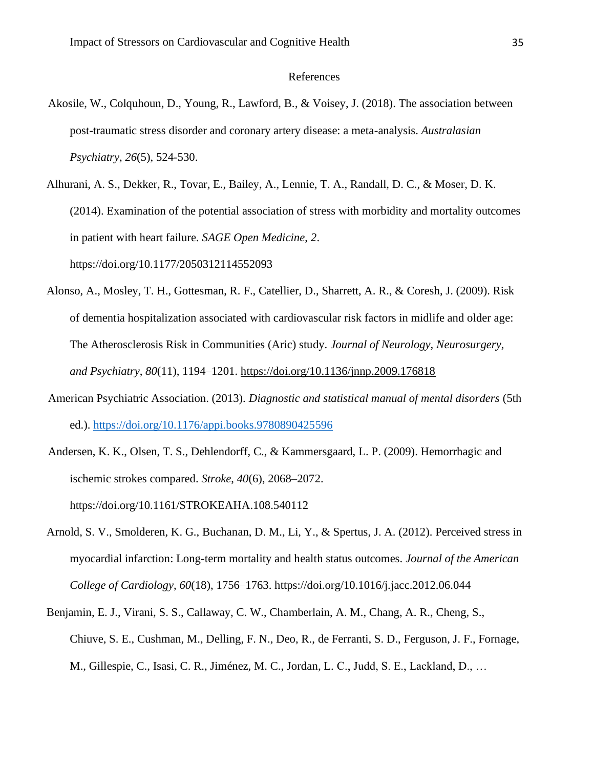# References

- Akosile, W., Colquhoun, D., Young, R., Lawford, B., & Voisey, J. (2018). The association between post-traumatic stress disorder and coronary artery disease: a meta-analysis. *Australasian Psychiatry*, *26*(5), 524-530.
- Alhurani, A. S., Dekker, R., Tovar, E., Bailey, A., Lennie, T. A., Randall, D. C., & Moser, D. K. (2014). Examination of the potential association of stress with morbidity and mortality outcomes in patient with heart failure. *SAGE Open Medicine*, *2*. https://doi.org/10.1177/2050312114552093
- Alonso, A., Mosley, T. H., Gottesman, R. F., Catellier, D., Sharrett, A. R., & Coresh, J. (2009). Risk of dementia hospitalization associated with cardiovascular risk factors in midlife and older age: The Atherosclerosis Risk in Communities (Aric) study. *Journal of Neurology, Neurosurgery, and Psychiatry*, *80*(11), 1194–1201.<https://doi.org/10.1136/jnnp.2009.176818>
- American Psychiatric Association. (2013). *Diagnostic and statistical manual of mental disorders* (5th ed.).<https://doi.org/10.1176/appi.books.9780890425596>
- Andersen, K. K., Olsen, T. S., Dehlendorff, C., & Kammersgaard, L. P. (2009). Hemorrhagic and ischemic strokes compared. *Stroke*, *40*(6), 2068–2072. https://doi.org/10.1161/STROKEAHA.108.540112
- Arnold, S. V., Smolderen, K. G., Buchanan, D. M., Li, Y., & Spertus, J. A. (2012). Perceived stress in myocardial infarction: Long-term mortality and health status outcomes. *Journal of the American College of Cardiology*, *60*(18), 1756–1763. https://doi.org/10.1016/j.jacc.2012.06.044
- Benjamin, E. J., Virani, S. S., Callaway, C. W., Chamberlain, A. M., Chang, A. R., Cheng, S., Chiuve, S. E., Cushman, M., Delling, F. N., Deo, R., de Ferranti, S. D., Ferguson, J. F., Fornage, M., Gillespie, C., Isasi, C. R., Jiménez, M. C., Jordan, L. C., Judd, S. E., Lackland, D., …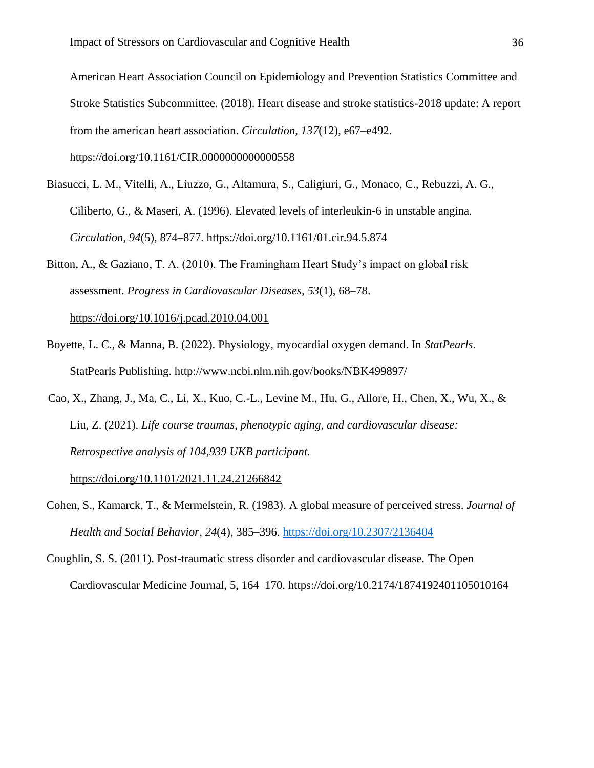American Heart Association Council on Epidemiology and Prevention Statistics Committee and Stroke Statistics Subcommittee. (2018). Heart disease and stroke statistics-2018 update: A report from the american heart association. *Circulation*, *137*(12), e67–e492. https://doi.org/10.1161/CIR.0000000000000558

- Biasucci, L. M., Vitelli, A., Liuzzo, G., Altamura, S., Caligiuri, G., Monaco, C., Rebuzzi, A. G., Ciliberto, G., & Maseri, A. (1996). Elevated levels of interleukin-6 in unstable angina. *Circulation*, *94*(5), 874–877. https://doi.org/10.1161/01.cir.94.5.874
- Bitton, A., & Gaziano, T. A. (2010). The Framingham Heart Study's impact on global risk assessment. *Progress in Cardiovascular Diseases*, *53*(1), 68–78. <https://doi.org/10.1016/j.pcad.2010.04.001>
- Boyette, L. C., & Manna, B. (2022). Physiology, myocardial oxygen demand. In *StatPearls*. StatPearls Publishing. http://www.ncbi.nlm.nih.gov/books/NBK499897/
- Cao, X., Zhang, J., Ma, C., Li, X., Kuo, C.-L., Levine M., Hu, G., Allore, H., Chen, X., Wu, X., & Liu, Z. (2021). *Life course traumas, phenotypic aging, and cardiovascular disease: Retrospective analysis of 104,939 UKB participant.*

<https://doi.org/10.1101/2021.11.24.21266842>

- Cohen, S., Kamarck, T., & Mermelstein, R. (1983). A global measure of perceived stress. *Journal of Health and Social Behavior*, *24*(4), 385–396.<https://doi.org/10.2307/2136404>
- Coughlin, S. S. (2011). Post-traumatic stress disorder and cardiovascular disease. The Open Cardiovascular Medicine Journal, 5, 164–170. https://doi.org/10.2174/1874192401105010164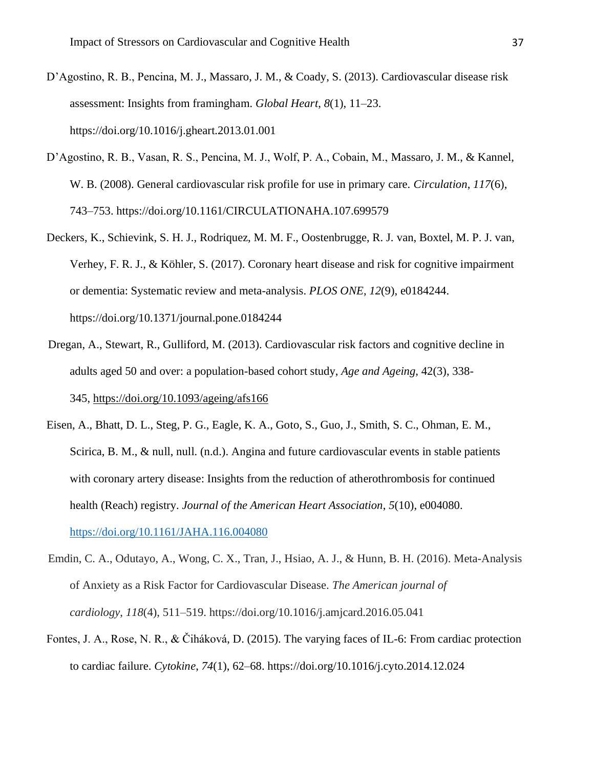- D'Agostino, R. B., Pencina, M. J., Massaro, J. M., & Coady, S. (2013). Cardiovascular disease risk assessment: Insights from framingham. *Global Heart*, *8*(1), 11–23. https://doi.org/10.1016/j.gheart.2013.01.001
- D'Agostino, R. B., Vasan, R. S., Pencina, M. J., Wolf, P. A., Cobain, M., Massaro, J. M., & Kannel, W. B. (2008). General cardiovascular risk profile for use in primary care. *Circulation*, *117*(6), 743–753. https://doi.org/10.1161/CIRCULATIONAHA.107.699579
- Deckers, K., Schievink, S. H. J., Rodriquez, M. M. F., Oostenbrugge, R. J. van, Boxtel, M. P. J. van, Verhey, F. R. J., & Köhler, S. (2017). Coronary heart disease and risk for cognitive impairment or dementia: Systematic review and meta-analysis. *PLOS ONE*, *12*(9), e0184244. https://doi.org/10.1371/journal.pone.0184244
- Dregan, A., Stewart, R., Gulliford, M. (2013). Cardiovascular risk factors and cognitive decline in adults aged 50 and over: a population-based cohort study, *Age and Ageing*, 42(3), 338- 345, <https://doi.org/10.1093/ageing/afs166>
- Eisen, A., Bhatt, D. L., Steg, P. G., Eagle, K. A., Goto, S., Guo, J., Smith, S. C., Ohman, E. M., Scirica, B. M., & null, null. (n.d.). Angina and future cardiovascular events in stable patients with coronary artery disease: Insights from the reduction of atherothrombosis for continued health (Reach) registry. *Journal of the American Heart Association*, *5*(10), e004080. <https://doi.org/10.1161/JAHA.116.004080>
- Emdin, C. A., Odutayo, A., Wong, C. X., Tran, J., Hsiao, A. J., & Hunn, B. H. (2016). Meta-Analysis of Anxiety as a Risk Factor for Cardiovascular Disease. *The American journal of cardiology*, *118*(4), 511–519. https://doi.org/10.1016/j.amjcard.2016.05.041
- Fontes, J. A., Rose, N. R., & Čiháková, D. (2015). The varying faces of IL-6: From cardiac protection to cardiac failure. *Cytokine*, *74*(1), 62–68. https://doi.org/10.1016/j.cyto.2014.12.024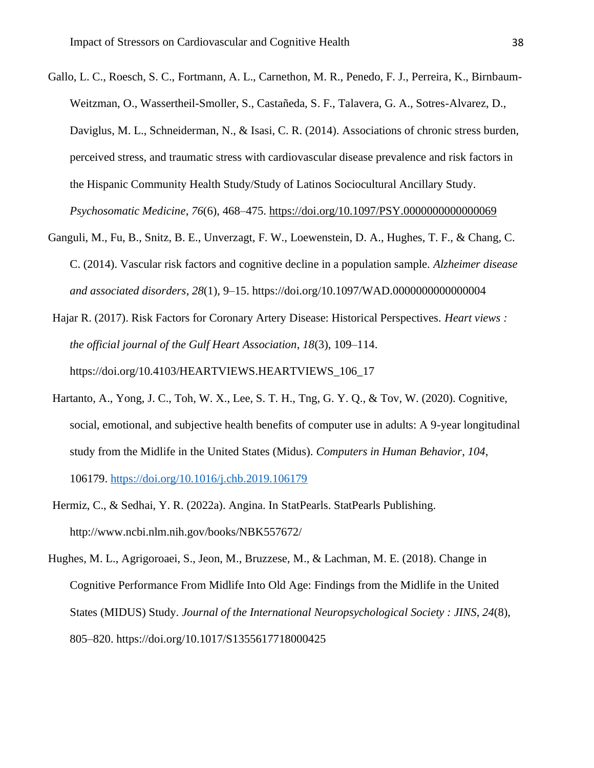- Gallo, L. C., Roesch, S. C., Fortmann, A. L., Carnethon, M. R., Penedo, F. J., Perreira, K., Birnbaum-Weitzman, O., Wassertheil-Smoller, S., Castañeda, S. F., Talavera, G. A., Sotres-Alvarez, D., Daviglus, M. L., Schneiderman, N., & Isasi, C. R. (2014). Associations of chronic stress burden, perceived stress, and traumatic stress with cardiovascular disease prevalence and risk factors in the Hispanic Community Health Study/Study of Latinos Sociocultural Ancillary Study. *Psychosomatic Medicine*, *76*(6), 468–475.<https://doi.org/10.1097/PSY.0000000000000069>
- Ganguli, M., Fu, B., Snitz, B. E., Unverzagt, F. W., Loewenstein, D. A., Hughes, T. F., & Chang, C. C. (2014). Vascular risk factors and cognitive decline in a population sample. *Alzheimer disease and associated disorders*, *28*(1), 9–15. https://doi.org/10.1097/WAD.0000000000000004
- Hajar R. (2017). Risk Factors for Coronary Artery Disease: Historical Perspectives. *Heart views : the official journal of the Gulf Heart Association*, *18*(3), 109–114. https://doi.org/10.4103/HEARTVIEWS.HEARTVIEWS\_106\_17
- Hartanto, A., Yong, J. C., Toh, W. X., Lee, S. T. H., Tng, G. Y. Q., & Tov, W. (2020). Cognitive, social, emotional, and subjective health benefits of computer use in adults: A 9-year longitudinal study from the Midlife in the United States (Midus). *Computers in Human Behavior*, *104*, 106179.<https://doi.org/10.1016/j.chb.2019.106179>
- Hermiz, C., & Sedhai, Y. R. (2022a). Angina. In StatPearls. StatPearls Publishing. http://www.ncbi.nlm.nih.gov/books/NBK557672/
- Hughes, M. L., Agrigoroaei, S., Jeon, M., Bruzzese, M., & Lachman, M. E. (2018). Change in Cognitive Performance From Midlife Into Old Age: Findings from the Midlife in the United States (MIDUS) Study. *Journal of the International Neuropsychological Society : JINS*, *24*(8), 805–820. https://doi.org/10.1017/S1355617718000425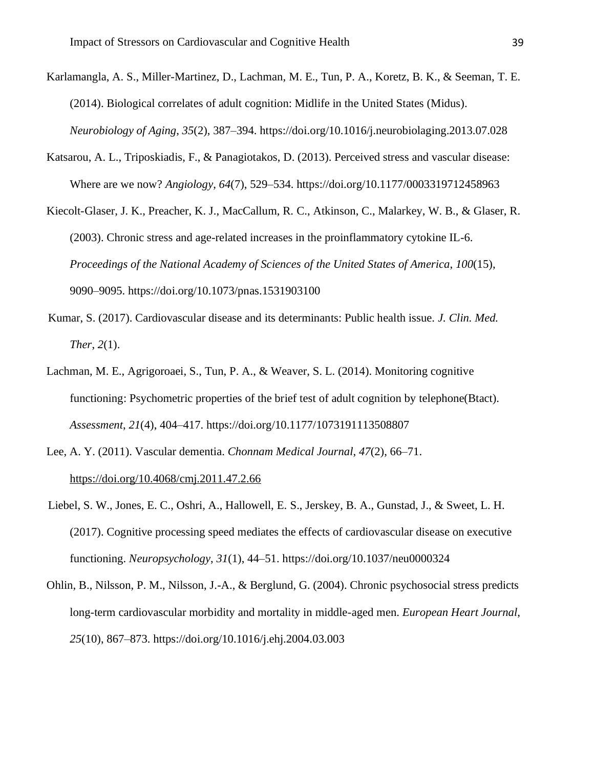- Karlamangla, A. S., Miller-Martinez, D., Lachman, M. E., Tun, P. A., Koretz, B. K., & Seeman, T. E. (2014). Biological correlates of adult cognition: Midlife in the United States (Midus). *Neurobiology of Aging*, *35*(2), 387–394. https://doi.org/10.1016/j.neurobiolaging.2013.07.028
- Katsarou, A. L., Triposkiadis, F., & Panagiotakos, D. (2013). Perceived stress and vascular disease: Where are we now? *Angiology*, *64*(7), 529–534. https://doi.org/10.1177/0003319712458963
- Kiecolt-Glaser, J. K., Preacher, K. J., MacCallum, R. C., Atkinson, C., Malarkey, W. B., & Glaser, R. (2003). Chronic stress and age-related increases in the proinflammatory cytokine IL-6. *Proceedings of the National Academy of Sciences of the United States of America*, *100*(15), 9090–9095. https://doi.org/10.1073/pnas.1531903100
- Kumar, S. (2017). Cardiovascular disease and its determinants: Public health issue. *J. Clin. Med. Ther*, *2*(1).
- Lachman, M. E., Agrigoroaei, S., Tun, P. A., & Weaver, S. L. (2014). Monitoring cognitive functioning: Psychometric properties of the brief test of adult cognition by telephone(Btact). *Assessment*, *21*(4), 404–417. https://doi.org/10.1177/1073191113508807
- Lee, A. Y. (2011). Vascular dementia. *Chonnam Medical Journal*, *47*(2), 66–71. <https://doi.org/10.4068/cmj.2011.47.2.66>
- Liebel, S. W., Jones, E. C., Oshri, A., Hallowell, E. S., Jerskey, B. A., Gunstad, J., & Sweet, L. H. (2017). Cognitive processing speed mediates the effects of cardiovascular disease on executive functioning. *Neuropsychology*, *31*(1), 44–51. https://doi.org/10.1037/neu0000324
- Ohlin, B., Nilsson, P. M., Nilsson, J.-A., & Berglund, G. (2004). Chronic psychosocial stress predicts long-term cardiovascular morbidity and mortality in middle-aged men. *European Heart Journal*, *25*(10), 867–873. https://doi.org/10.1016/j.ehj.2004.03.003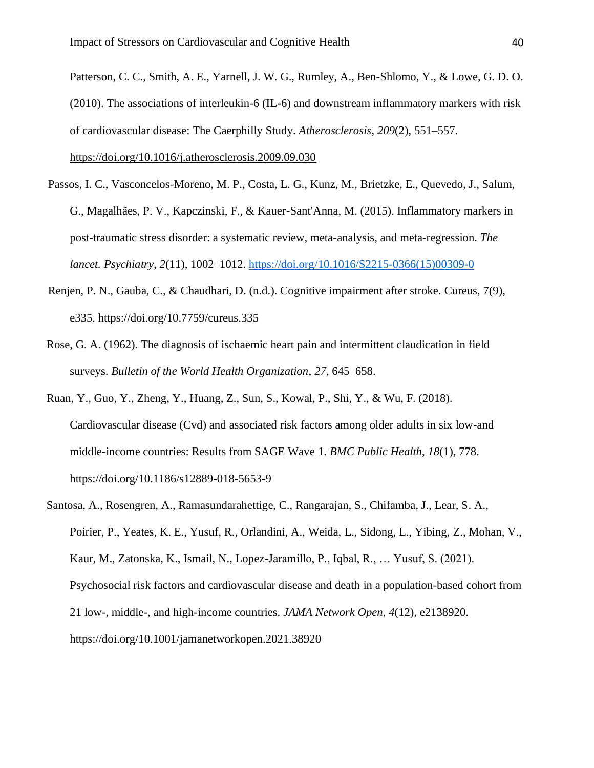Patterson, C. C., Smith, A. E., Yarnell, J. W. G., Rumley, A., Ben-Shlomo, Y., & Lowe, G. D. O. (2010). The associations of interleukin-6 (IL-6) and downstream inflammatory markers with risk of cardiovascular disease: The Caerphilly Study. *Atherosclerosis*, *209*(2), 551–557. <https://doi.org/10.1016/j.atherosclerosis.2009.09.030>

- Passos, I. C., Vasconcelos-Moreno, M. P., Costa, L. G., Kunz, M., Brietzke, E., Quevedo, J., Salum, G., Magalhães, P. V., Kapczinski, F., & Kauer-Sant'Anna, M. (2015). Inflammatory markers in post-traumatic stress disorder: a systematic review, meta-analysis, and meta-regression. *The lancet. Psychiatry*, *2*(11), 1002–1012. [https://doi.org/10.1016/S2215-0366\(15\)00309-0](https://doi.org/10.1016/S2215-0366(15)00309-0)
- Renjen, P. N., Gauba, C., & Chaudhari, D. (n.d.). Cognitive impairment after stroke. Cureus, 7(9), e335. https://doi.org/10.7759/cureus.335
- Rose, G. A. (1962). The diagnosis of ischaemic heart pain and intermittent claudication in field surveys. *Bulletin of the World Health Organization*, *27*, 645–658.
- Ruan, Y., Guo, Y., Zheng, Y., Huang, Z., Sun, S., Kowal, P., Shi, Y., & Wu, F. (2018). Cardiovascular disease (Cvd) and associated risk factors among older adults in six low-and middle-income countries: Results from SAGE Wave 1. *BMC Public Health*, *18*(1), 778. https://doi.org/10.1186/s12889-018-5653-9
- Santosa, A., Rosengren, A., Ramasundarahettige, C., Rangarajan, S., Chifamba, J., Lear, S. A., Poirier, P., Yeates, K. E., Yusuf, R., Orlandini, A., Weida, L., Sidong, L., Yibing, Z., Mohan, V., Kaur, M., Zatonska, K., Ismail, N., Lopez-Jaramillo, P., Iqbal, R., … Yusuf, S. (2021). Psychosocial risk factors and cardiovascular disease and death in a population-based cohort from 21 low-, middle-, and high-income countries. *JAMA Network Open*, *4*(12), e2138920. https://doi.org/10.1001/jamanetworkopen.2021.38920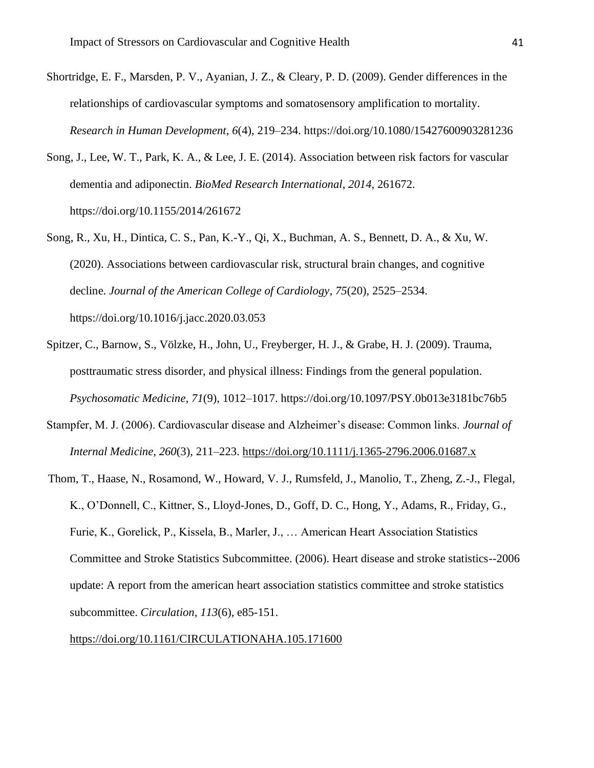- Shortridge, E. F., Marsden, P. V., Ayanian, J. Z., & Cleary, P. D. (2009). Gender differences in the relationships of cardiovascular symptoms and somatosensory amplification to mortality. *Research in Human Development*, *6*(4), 219–234. https://doi.org/10.1080/15427600903281236
- Song, J., Lee, W. T., Park, K. A., & Lee, J. E. (2014). Association between risk factors for vascular dementia and adiponectin. *BioMed Research International*, *2014*, 261672. https://doi.org/10.1155/2014/261672
- Song, R., Xu, H., Dintica, C. S., Pan, K.-Y., Qi, X., Buchman, A. S., Bennett, D. A., & Xu, W. (2020). Associations between cardiovascular risk, structural brain changes, and cognitive decline. *Journal of the American College of Cardiology*, *75*(20), 2525–2534. https://doi.org/10.1016/j.jacc.2020.03.053
- Spitzer, C., Barnow, S., Völzke, H., John, U., Freyberger, H. J., & Grabe, H. J. (2009). Trauma, posttraumatic stress disorder, and physical illness: Findings from the general population. *Psychosomatic Medicine*, *71*(9), 1012–1017. https://doi.org/10.1097/PSY.0b013e3181bc76b5
- Stampfer, M. J. (2006). Cardiovascular disease and Alzheimer's disease: Common links. *Journal of Internal Medicine*, *260*(3), 211–223.<https://doi.org/10.1111/j.1365-2796.2006.01687.x>
- Thom, T., Haase, N., Rosamond, W., Howard, V. J., Rumsfeld, J., Manolio, T., Zheng, Z.-J., Flegal, K., O'Donnell, C., Kittner, S., Lloyd-Jones, D., Goff, D. C., Hong, Y., Adams, R., Friday, G., Furie, K., Gorelick, P., Kissela, B., Marler, J., … American Heart Association Statistics Committee and Stroke Statistics Subcommittee. (2006). Heart disease and stroke statistics--2006 update: A report from the american heart association statistics committee and stroke statistics subcommittee. *Circulation*, *113*(6), e85-151.

<https://doi.org/10.1161/CIRCULATIONAHA.105.171600>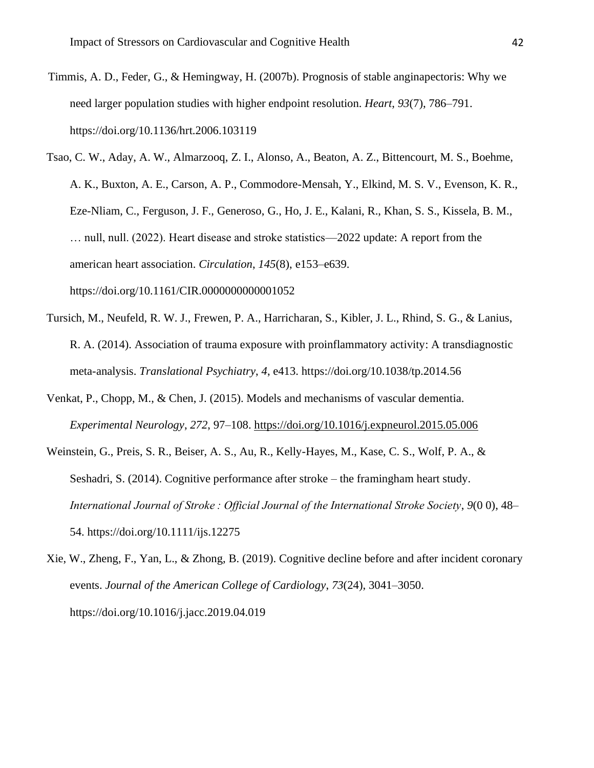- Timmis, A. D., Feder, G., & Hemingway, H. (2007b). Prognosis of stable anginapectoris: Why we need larger population studies with higher endpoint resolution. *Heart*, *93*(7), 786–791. https://doi.org/10.1136/hrt.2006.103119
- Tsao, C. W., Aday, A. W., Almarzooq, Z. I., Alonso, A., Beaton, A. Z., Bittencourt, M. S., Boehme, A. K., Buxton, A. E., Carson, A. P., Commodore-Mensah, Y., Elkind, M. S. V., Evenson, K. R., Eze-Nliam, C., Ferguson, J. F., Generoso, G., Ho, J. E., Kalani, R., Khan, S. S., Kissela, B. M., … null, null. (2022). Heart disease and stroke statistics—2022 update: A report from the american heart association. *Circulation*, *145*(8), e153–e639. https://doi.org/10.1161/CIR.0000000000001052
- Tursich, M., Neufeld, R. W. J., Frewen, P. A., Harricharan, S., Kibler, J. L., Rhind, S. G., & Lanius, R. A. (2014). Association of trauma exposure with proinflammatory activity: A transdiagnostic meta-analysis. *Translational Psychiatry*, *4*, e413. https://doi.org/10.1038/tp.2014.56
- Venkat, P., Chopp, M., & Chen, J. (2015). Models and mechanisms of vascular dementia. *Experimental Neurology*, *272*, 97–108.<https://doi.org/10.1016/j.expneurol.2015.05.006>
- Weinstein, G., Preis, S. R., Beiser, A. S., Au, R., Kelly-Hayes, M., Kase, C. S., Wolf, P. A., & Seshadri, S. (2014). Cognitive performance after stroke – the framingham heart study. *International Journal of Stroke : Official Journal of the International Stroke Society*, *9*(0 0), 48– 54. https://doi.org/10.1111/ijs.12275
- Xie, W., Zheng, F., Yan, L., & Zhong, B. (2019). Cognitive decline before and after incident coronary events. *Journal of the American College of Cardiology*, *73*(24), 3041–3050. https://doi.org/10.1016/j.jacc.2019.04.019